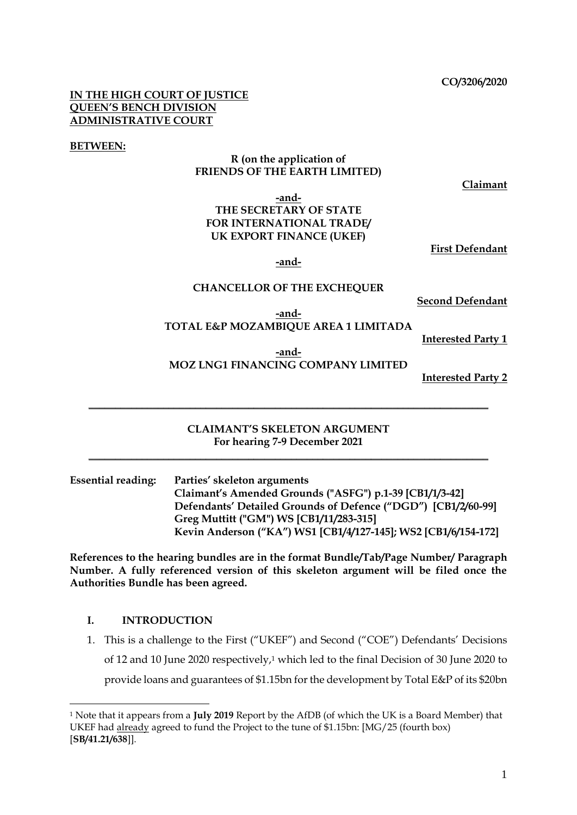#### **IN THE HIGH COURT OF JUSTICE QUEEN'S BENCH DIVISION ADMINISTRATIVE COURT**

#### **BETWEEN:**

## **R (on the application of FRIENDS OF THE EARTH LIMITED)**

**Claimant**

**-and-**

# **THE SECRETARY OF STATE FOR INTERNATIONAL TRADE/ UK EXPORT FINANCE (UKEF)**

**First Defendant**

**-and-**

#### **CHANCELLOR OF THE EXCHEQUER**

**Second Defendant**

**-and-**

## **TOTAL E&P MOZAMBIQUE AREA 1 LIMITADA**

**Interested Party 1**

**-and-**

**MOZ LNG1 FINANCING COMPANY LIMITED**

**Interested Party 2**

#### **CLAIMANT'S SKELETON ARGUMENT For hearing 7-9 December 2021**

**\_\_\_\_\_\_\_\_\_\_\_\_\_\_\_\_\_\_\_\_\_\_\_\_\_\_\_\_\_\_\_\_\_\_\_\_\_\_\_\_\_\_\_\_\_\_\_\_\_\_\_\_\_\_\_\_\_\_\_\_\_\_\_\_\_\_\_\_\_\_\_\_\_\_\_**

**\_\_\_\_\_\_\_\_\_\_\_\_\_\_\_\_\_\_\_\_\_\_\_\_\_\_\_\_\_\_\_\_\_\_\_\_\_\_\_\_\_\_\_\_\_\_\_\_\_\_\_\_\_\_\_\_\_\_\_\_\_\_\_\_\_\_\_\_\_\_\_\_\_\_\_**

| <b>Essential reading:</b> | Parties' skeleton arguments                                    |
|---------------------------|----------------------------------------------------------------|
|                           | Claimant's Amended Grounds ("ASFG") p.1-39 [CB1/1/3-42]        |
|                           | Defendants' Detailed Grounds of Defence ("DGD") [CB1/2/60-99]  |
|                           | Greg Muttitt ("GM") WS [CB1/11/283-315]                        |
|                           | Kevin Anderson ("KA") WS1 [CB1/4/127-145]; WS2 [CB1/6/154-172] |

**References to the hearing bundles are in the format Bundle/Tab/Page Number/ Paragraph Number. A fully referenced version of this skeleton argument will be filed once the Authorities Bundle has been agreed.**

### **I. INTRODUCTION**

1. This is a challenge to the First ("UKEF") and Second ("COE") Defendants' Decisions of 12 and 10 June 2020 respectively,<sup>1</sup> which led to the final Decision of 30 June 2020 to provide loans and guarantees of \$1.15bn for the development by Total E&P of its \$20bn

<sup>1</sup> Note that it appears from a **July 2019** Report by the AfDB (of which the UK is a Board Member) that UKEF had already agreed to fund the Project to the tune of \$1.15bn: [MG/25 (fourth box) [**SB/41.21/638**]].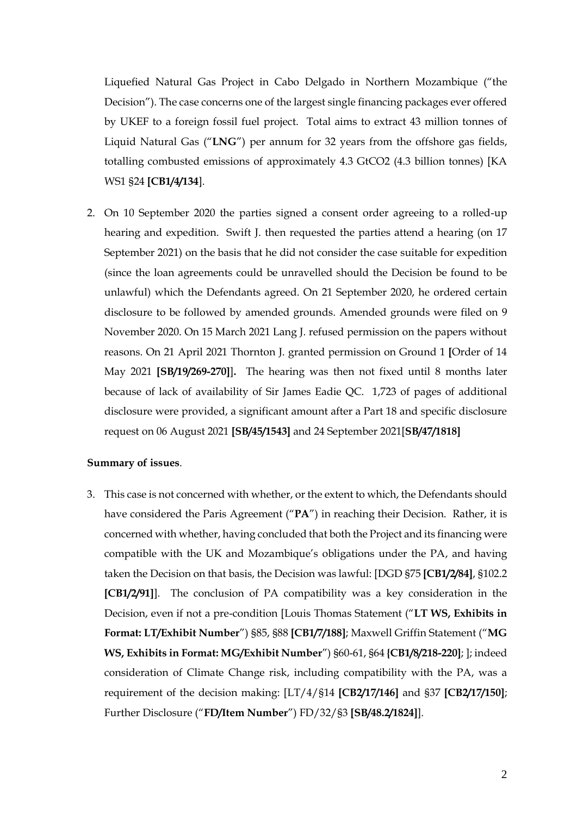Liquefied Natural Gas Project in Cabo Delgado in Northern Mozambique ("the Decision"). The case concerns one of the largest single financing packages ever offered by UKEF to a foreign fossil fuel project. Total aims to extract 43 million tonnes of Liquid Natural Gas ("**LNG**") per annum for 32 years from the offshore gas fields, totalling combusted emissions of approximately 4.3 GtCO2 (4.3 billion tonnes) [KA WS1 §24 **[CB1/4/134**].

2. On 10 September 2020 the parties signed a consent order agreeing to a rolled-up hearing and expedition. Swift J. then requested the parties attend a hearing (on 17 September 2021) on the basis that he did not consider the case suitable for expedition (since the loan agreements could be unravelled should the Decision be found to be unlawful) which the Defendants agreed. On 21 September 2020, he ordered certain disclosure to be followed by amended grounds. Amended grounds were filed on 9 November 2020. On 15 March 2021 Lang J. refused permission on the papers without reasons. On 21 April 2021 Thornton J. granted permission on Ground 1 **[**Order of 14 May 2021 **[SB/19/269-270]**]**.** The hearing was then not fixed until 8 months later because of lack of availability of Sir James Eadie QC. 1,723 of pages of additional disclosure were provided, a significant amount after a Part 18 and specific disclosure request on 06 August 2021 **[SB/45/1543]** and 24 September 2021[**SB/47/1818]**

#### **Summary of issues**.

3. This case is not concerned with whether, or the extent to which, the Defendants should have considered the Paris Agreement ("**PA**") in reaching their Decision. Rather, it is concerned with whether, having concluded that both the Project and its financing were compatible with the UK and Mozambique's obligations under the PA, and having taken the Decision on that basis, the Decision was lawful: [DGD §75 **[CB1/2/84]**, §102.2 **[CB1/2/91]**]. The conclusion of PA compatibility was a key consideration in the Decision, even if not a pre-condition [Louis Thomas Statement ("**LT WS, Exhibits in Format: LT/Exhibit Number**") §85, §88 **[CB1/7/188]**; Maxwell Griffin Statement ("**MG WS, Exhibits in Format: MG/Exhibit Number**") §60-61, §64 **{CB1/8/218-220]**; ]; indeed consideration of Climate Change risk, including compatibility with the PA, was a requirement of the decision making: [LT/4/§14 **[CB2/17/146]** and §37 **[CB2/17/150]**; Further Disclosure ("**FD/Item Number**") FD/32/§3 **[SB/48.2/1824]**].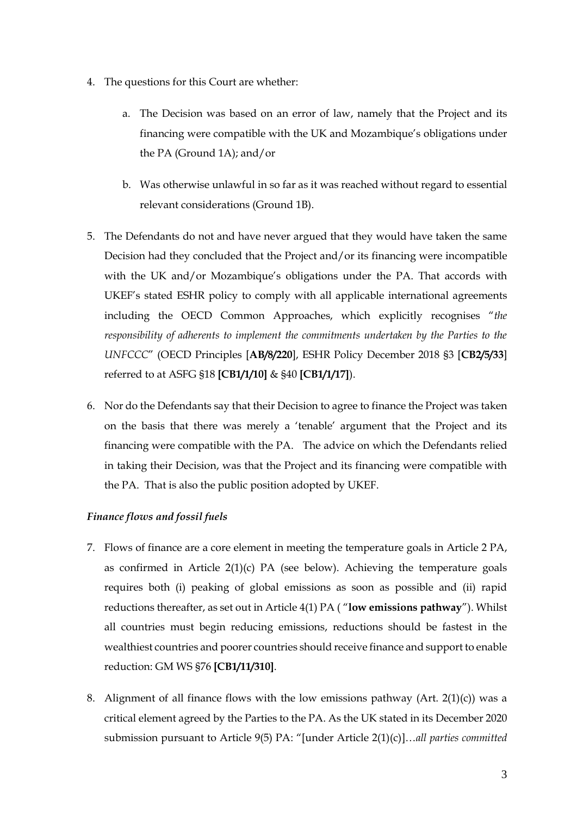- 4. The questions for this Court are whether:
	- a. The Decision was based on an error of law, namely that the Project and its financing were compatible with the UK and Mozambique's obligations under the PA (Ground 1A); and/or
	- b. Was otherwise unlawful in so far as it was reached without regard to essential relevant considerations (Ground 1B).
- 5. The Defendants do not and have never argued that they would have taken the same Decision had they concluded that the Project and/or its financing were incompatible with the UK and/or Mozambique's obligations under the PA. That accords with UKEF's stated ESHR policy to comply with all applicable international agreements including the OECD Common Approaches, which explicitly recognises "*the responsibility of adherents to implement the commitments undertaken by the Parties to the UNFCCC*" (OECD Principles [**AB/8/220**], ESHR Policy December 2018 §3 [**CB2/5/33**] referred to at ASFG §18 **[CB1/1/10]** & §40 **[CB1/1/17]**).
- 6. Nor do the Defendants say that their Decision to agree to finance the Project was taken on the basis that there was merely a 'tenable' argument that the Project and its financing were compatible with the PA. The advice on which the Defendants relied in taking their Decision, was that the Project and its financing were compatible with the PA. That is also the public position adopted by UKEF.

## *Finance flows and fossil fuels*

- 7. Flows of finance are a core element in meeting the temperature goals in Article 2 PA, as confirmed in Article  $2(1)(c)$  PA (see below). Achieving the temperature goals requires both (i) peaking of global emissions as soon as possible and (ii) rapid reductions thereafter, as set out in Article 4(1) PA ( "**low emissions pathway**"). Whilst all countries must begin reducing emissions, reductions should be fastest in the wealthiest countries and poorer countries should receive finance and support to enable reduction: GM WS §76 **[CB1/11/310]**.
- 8. Alignment of all finance flows with the low emissions pathway (Art.  $2(1)(c)$ ) was a critical element agreed by the Parties to the PA. As the UK stated in its December 2020 submission pursuant to Article 9(5) PA: "[under Article 2(1)(c)]…*all parties committed*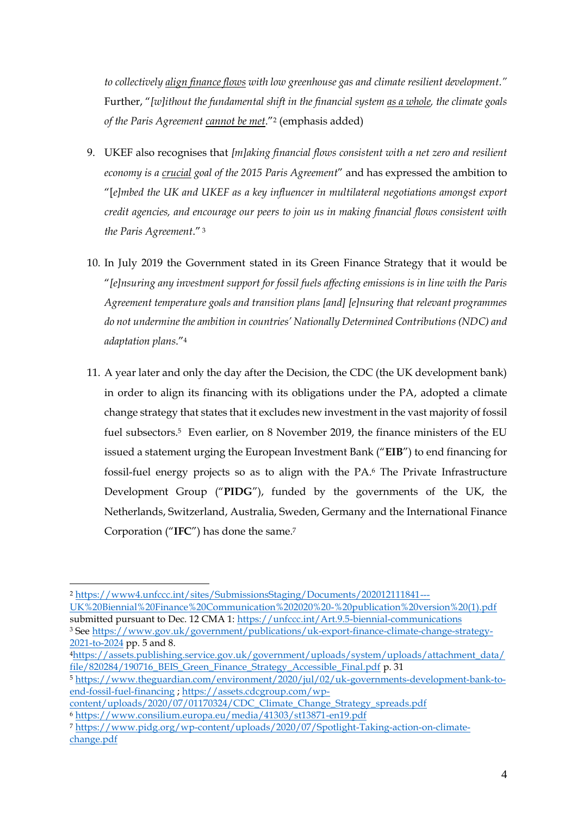*to collectively align finance flows with low greenhouse gas and climate resilient development."*  Further, "*[w]ithout the fundamental shift in the financial system as a whole, the climate goals of the Paris Agreement cannot be met*."<sup>2</sup> (emphasis added)

- 9. UKEF also recognises that *[m]aking financial flows consistent with a net zero and resilient economy is a crucial goal of the 2015 Paris Agreement*" and has expressed the ambition to "[*e]mbed the UK and UKEF as a key influencer in multilateral negotiations amongst export credit agencies, and encourage our peers to join us in making financial flows consistent with the Paris Agreement*." <sup>3</sup>
- 10. In July 2019 the Government stated in its Green Finance Strategy that it would be "*[e]nsuring any investment support for fossil fuels affecting emissions is in line with the Paris Agreement temperature goals and transition plans [and] [e]nsuring that relevant programmes do not undermine the ambition in countries' Nationally Determined Contributions (NDC) and adaptation plans*."<sup>4</sup>
- 11. A year later and only the day after the Decision, the CDC (the UK development bank) in order to align its financing with its obligations under the PA, adopted a climate change strategy that states that it excludes new investment in the vast majority of fossil fuel subsectors.<sup>5</sup> Even earlier, on 8 November 2019, the finance ministers of the EU issued a statement urging the European Investment Bank ("**EIB**") to end financing for fossil-fuel energy projects so as to align with the PA.<sup>6</sup> The Private Infrastructure Development Group ("**PIDG**"), funded by the governments of the UK, the Netherlands, Switzerland, Australia, Sweden, Germany and the International Finance Corporation ("**IFC**") has done the same.<sup>7</sup>

<sup>2</sup> https://www4.unfccc.int/sites/SubmissionsStaging/Documents/202012111841---

UK%20Biennial%20Finance%20Communication%202020%20-%20publication%20version%20(1).pdf submitted pursuant to Dec. 12 CMA 1: https://unfccc.int/Art.9.5-biennial-communications

<sup>3</sup> See https://www.gov.uk/government/publications/uk-export-finance-climate-change-strategy-2021-to-2024 pp. 5 and 8.

<sup>4</sup>https://assets.publishing.service.gov.uk/government/uploads/system/uploads/attachment\_data/ file/820284/190716\_BEIS\_Green\_Finance\_Strategy\_Accessible\_Final.pdf p. 31

<sup>5</sup> https://www.theguardian.com/environment/2020/jul/02/uk-governments-development-bank-toend-fossil-fuel-financing ; https://assets.cdcgroup.com/wp-

content/uploads/2020/07/01170324/CDC\_Climate\_Change\_Strategy\_spreads.pdf

<sup>6</sup> https://www.consilium.europa.eu/media/41303/st13871-en19.pdf

<sup>7</sup> https://www.pidg.org/wp-content/uploads/2020/07/Spotlight-Taking-action-on-climatechange.pdf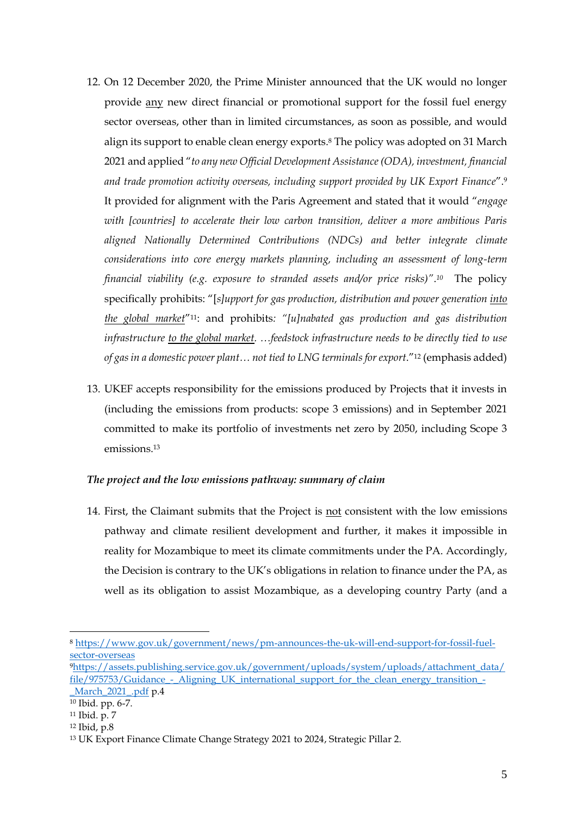- 12. On 12 December 2020, the Prime Minister announced that the UK would no longer provide any new direct financial or promotional support for the fossil fuel energy sector overseas, other than in limited circumstances, as soon as possible, and would align its support to enable clean energy exports.<sup>8</sup> The policy was adopted on 31 March 2021 and applied "*to any new Official Development Assistance (ODA), investment, financial and trade promotion activity overseas, including support provided by UK Export Finance*".<sup>9</sup> It provided for alignment with the Paris Agreement and stated that it would "*engage with [countries] to accelerate their low carbon transition, deliver a more ambitious Paris aligned Nationally Determined Contributions (NDCs) and better integrate climate considerations into core energy markets planning, including an assessment of long-term financial viability (e.g. exposure to stranded assets and/or price risks)"*. *<sup>10</sup>* The policy specifically prohibits: "[*s]upport for gas production, distribution and power generation into the global market*"11: and prohibits*: "[u]nabated gas production and gas distribution infrastructure to the global market. …feedstock infrastructure needs to be directly tied to use of gas in a domestic power plant… not tied to LNG terminals for export*."<sup>12</sup> (emphasis added)
- 13. UKEF accepts responsibility for the emissions produced by Projects that it invests in (including the emissions from products: scope 3 emissions) and in September 2021 committed to make its portfolio of investments net zero by 2050, including Scope 3 emissions. 13

### *The project and the low emissions pathway: summary of claim*

14. First, the Claimant submits that the Project is not consistent with the low emissions pathway and climate resilient development and further, it makes it impossible in reality for Mozambique to meet its climate commitments under the PA. Accordingly, the Decision is contrary to the UK's obligations in relation to finance under the PA, as well as its obligation to assist Mozambique, as a developing country Party (and a

<sup>8</sup> https://www.gov.uk/government/news/pm-announces-the-uk-will-end-support-for-fossil-fuelsector-overseas

<sup>9</sup>https://assets.publishing.service.gov.uk/government/uploads/system/uploads/attachment\_data/ file/975753/Guidance - Aligning UK international support for the clean energy transition -\_March\_2021\_.pdf p.4

<sup>10</sup> Ibid. pp. 6-7.

<sup>11</sup> Ibid. p. 7

<sup>12</sup> Ibid, p.8

<sup>13</sup> UK Export Finance Climate Change Strategy 2021 to 2024, Strategic Pillar 2.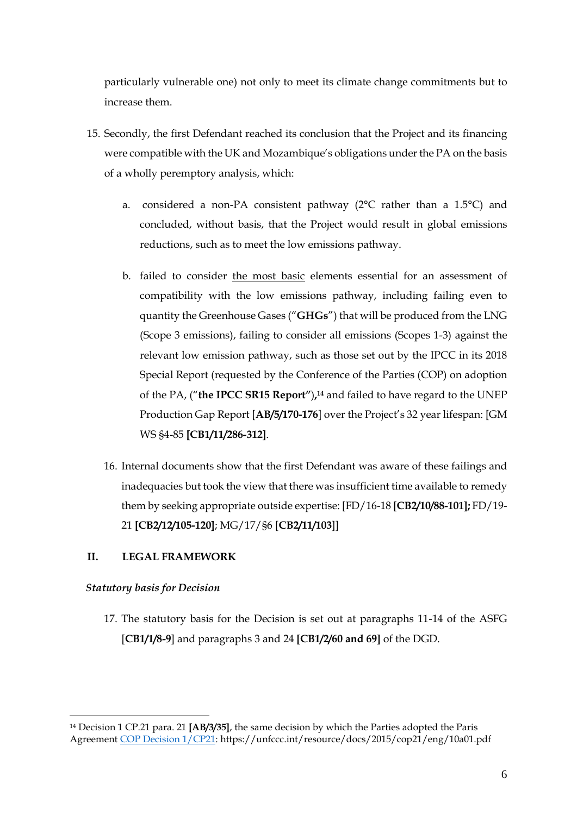particularly vulnerable one) not only to meet its climate change commitments but to increase them.

- 15. Secondly, the first Defendant reached its conclusion that the Project and its financing were compatible with the UK and Mozambique's obligations under the PA on the basis of a wholly peremptory analysis, which:
	- a. considered a non-PA consistent pathway (2°C rather than a 1.5°C) and concluded, without basis, that the Project would result in global emissions reductions, such as to meet the low emissions pathway.
	- b. failed to consider the most basic elements essential for an assessment of compatibility with the low emissions pathway, including failing even to quantity the Greenhouse Gases ("**GHGs**") that will be produced from the LNG (Scope 3 emissions), failing to consider all emissions (Scopes 1-3) against the relevant low emission pathway, such as those set out by the IPCC in its 2018 Special Report (requested by the Conference of the Parties (COP) on adoption of the PA, ("**the IPCC SR15 Report"**)**, <sup>14</sup>** and failed to have regard to the UNEP Production Gap Report [**AB/5/170-176**] over the Project's 32 year lifespan: [GM WS §4-85 **[CB1/11/286-312]**.
	- 16. Internal documents show that the first Defendant was aware of these failings and inadequacies but took the view that there was insufficient time available to remedy them by seeking appropriate outside expertise: [FD/16-18 **[CB2/10/88-101];** FD/19- 21 **[CB2/12/105-120]**; MG/17/§6 [**CB2/11/103**]]

### **II. LEGAL FRAMEWORK**

### *Statutory basis for Decision*

17. The statutory basis for the Decision is set out at paragraphs 11-14 of the ASFG [**CB1/1/8-9**] and paragraphs 3 and 24 **[CB1/2/60 and 69]** of the DGD.

<sup>14</sup> Decision 1 CP.21 para. 21 **[AB/3/35]**, the same decision by which the Parties adopted the Paris Agreement COP Decision 1/CP21: https://unfccc.int/resource/docs/2015/cop21/eng/10a01.pdf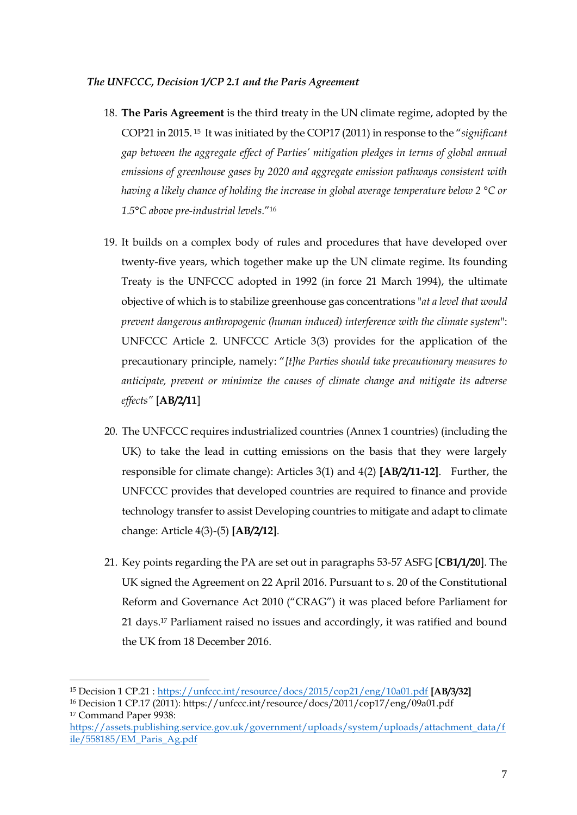- 18. **The Paris Agreement** is the third treaty in the UN climate regime, adopted by the COP21 in 2015. <sup>15</sup> It was initiated by the COP17 (2011) in response to the "*significant gap between the aggregate effect of Parties' mitigation pledges in terms of global annual emissions of greenhouse gases by 2020 and aggregate emission pathways consistent with having a likely chance of holding the increase in global average temperature below 2 °C or 1.5°C above pre-industrial levels*."<sup>16</sup>
- 19. It builds on a complex body of rules and procedures that have developed over twenty-five years, which together make up the UN climate regime. Its founding Treaty is the UNFCCC adopted in 1992 (in force 21 March 1994), the ultimate objective of which is to stabilize greenhouse gas concentrations "*at a level that would prevent dangerous anthropogenic (human induced) interference with the climate system*": UNFCCC Article 2. UNFCCC Article 3(3) provides for the application of the precautionary principle, namely: "*[t]he Parties should take precautionary measures to anticipate, prevent or minimize the causes of climate change and mitigate its adverse effects"* [**AB/2/11**]
- 20. The UNFCCC requires industrialized countries (Annex 1 countries) (including the UK) to take the lead in cutting emissions on the basis that they were largely responsible for climate change): Articles 3(1) and 4(2) **[AB/2/11-12]**. Further, the UNFCCC provides that developed countries are required to finance and provide technology transfer to assist Developing countries to mitigate and adapt to climate change: Article 4(3)-(5) **[AB/2/12]**.
- 21. Key points regarding the PA are set out in paragraphs 53-57 ASFG [**CB1/1/20**]. The UK signed the Agreement on 22 April 2016. Pursuant to s. 20 of the Constitutional Reform and Governance Act 2010 ("CRAG") it was placed before Parliament for 21 days. <sup>17</sup> Parliament raised no issues and accordingly, it was ratified and bound the UK from 18 December 2016.

<sup>15</sup> Decision 1 CP.21 : https://unfccc.int/resource/docs/2015/cop21/eng/10a01.pdf **[AB/3/32]**

<sup>16</sup> Decision 1 CP.17 (2011): https://unfccc.int/resource/docs/2011/cop17/eng/09a01.pdf <sup>17</sup> Command Paper 9938:

https://assets.publishing.service.gov.uk/government/uploads/system/uploads/attachment\_data/f ile/558185/EM\_Paris\_Ag.pdf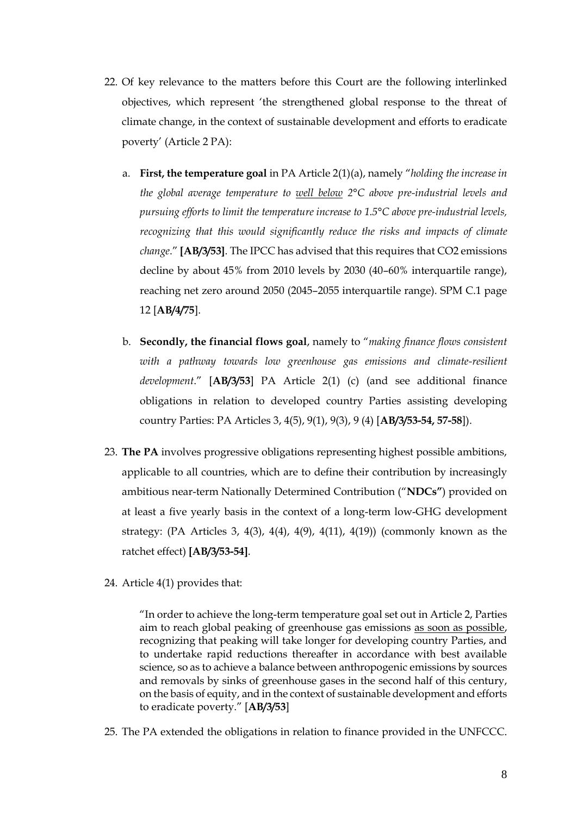- 22. Of key relevance to the matters before this Court are the following interlinked objectives, which represent 'the strengthened global response to the threat of climate change, in the context of sustainable development and efforts to eradicate poverty' (Article 2 PA):
	- a. **First, the temperature goal** in PA Article 2(1)(a), namely "*holding the increase in the global average temperature to well below 2°C above pre-industrial levels and pursuing efforts to limit the temperature increase to 1.5°C above pre-industrial levels, recognizing that this would significantly reduce the risks and impacts of climate change*." **[AB/3/53]**. The IPCC has advised that this requires that CO2 emissions decline by about 45% from 2010 levels by 2030 (40–60% interquartile range), reaching net zero around 2050 (2045–2055 interquartile range). SPM C.1 page 12 [**AB/4/75**].
	- b. **Secondly, the financial flows goal**, namely to "*making finance flows consistent*  with a pathway towards low greenhouse gas emissions and climate-resilient *development*." [**AB/3/53**] PA Article 2(1) (c) (and see additional finance obligations in relation to developed country Parties assisting developing country Parties: PA Articles 3, 4(5), 9(1), 9(3), 9 (4) [**AB/3/53-54, 57-58**]).
- 23. **The PA** involves progressive obligations representing highest possible ambitions, applicable to all countries, which are to define their contribution by increasingly ambitious near-term Nationally Determined Contribution ("**NDCs"**) provided on at least a five yearly basis in the context of a long-term low-GHG development strategy: (PA Articles 3, 4(3), 4(4), 4(9), 4(11), 4(19)) (commonly known as the ratchet effect) **[AB/3/53-54]**.
- 24. Article 4(1) provides that:

"In order to achieve the long-term temperature goal set out in Article 2, Parties aim to reach global peaking of greenhouse gas emissions as soon as possible, recognizing that peaking will take longer for developing country Parties, and to undertake rapid reductions thereafter in accordance with best available science, so as to achieve a balance between anthropogenic emissions by sources and removals by sinks of greenhouse gases in the second half of this century, on the basis of equity, and in the context of sustainable development and efforts to eradicate poverty." [**AB/3/53**]

25. The PA extended the obligations in relation to finance provided in the UNFCCC.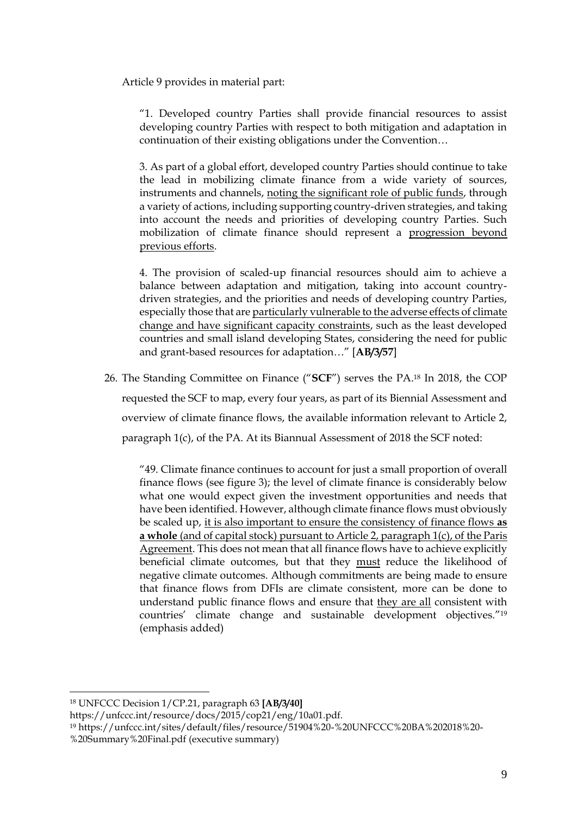Article 9 provides in material part:

"1. Developed country Parties shall provide financial resources to assist developing country Parties with respect to both mitigation and adaptation in continuation of their existing obligations under the Convention…

3. As part of a global effort, developed country Parties should continue to take the lead in mobilizing climate finance from a wide variety of sources, instruments and channels, noting the significant role of public funds, through a variety of actions, including supporting country-driven strategies, and taking into account the needs and priorities of developing country Parties. Such mobilization of climate finance should represent a progression beyond previous efforts.

4. The provision of scaled-up financial resources should aim to achieve a balance between adaptation and mitigation, taking into account countrydriven strategies, and the priorities and needs of developing country Parties, especially those that are particularly vulnerable to the adverse effects of climate change and have significant capacity constraints, such as the least developed countries and small island developing States, considering the need for public and grant-based resources for adaptation…" [**AB/3/57**]

26. The Standing Committee on Finance ("**SCF**") serves the PA. <sup>18</sup> In 2018, the COP requested the SCF to map, every four years, as part of its Biennial Assessment and overview of climate finance flows, the available information relevant to Article 2, paragraph 1(c), of the PA. At its Biannual Assessment of 2018 the SCF noted:

"49. Climate finance continues to account for just a small proportion of overall finance flows (see figure 3); the level of climate finance is considerably below what one would expect given the investment opportunities and needs that have been identified. However, although climate finance flows must obviously be scaled up, it is also important to ensure the consistency of finance flows **as a whole** (and of capital stock) pursuant to Article 2, paragraph 1(c), of the Paris Agreement. This does not mean that all finance flows have to achieve explicitly beneficial climate outcomes, but that they must reduce the likelihood of negative climate outcomes. Although commitments are being made to ensure that finance flows from DFIs are climate consistent, more can be done to understand public finance flows and ensure that they are all consistent with countries' climate change and sustainable development objectives."<sup>19</sup> (emphasis added)

<sup>18</sup> UNFCCC Decision 1/CP.21, paragraph 63 **[AB/3/40]** 

https://unfccc.int/resource/docs/2015/cop21/eng/10a01.pdf.

<sup>19</sup> https://unfccc.int/sites/default/files/resource/51904%20-%20UNFCCC%20BA%202018%20-

<sup>%20</sup>Summary%20Final.pdf (executive summary)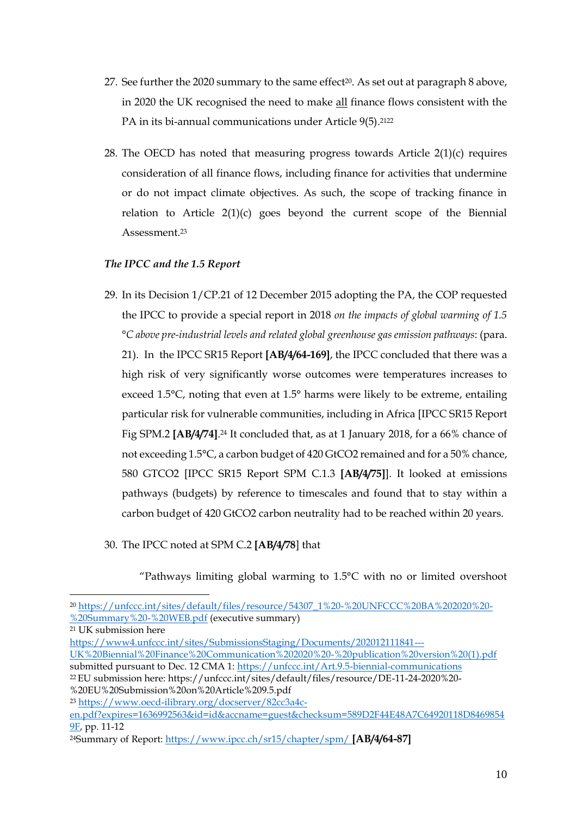- 27. See further the 2020 summary to the same effect<sup>20</sup>. As set out at paragraph 8 above, in 2020 the UK recognised the need to make all finance flows consistent with the PA in its bi-annual communications under Article 9(5). 2122
- 28. The OECD has noted that measuring progress towards Article 2(1)(c) requires consideration of all finance flows, including finance for activities that undermine or do not impact climate objectives. As such, the scope of tracking finance in relation to Article 2(1)(c) goes beyond the current scope of the Biennial Assessment.<sup>23</sup>

### <span id="page-9-0"></span>*The IPCC and the 1.5 Report*

29. In its Decision 1/CP.21 of 12 December 2015 adopting the PA, the COP requested the IPCC to provide a special report in 2018 *on the impacts of global warming of 1.5 °C above pre-industrial levels and related global greenhouse gas emission pathways*: (para. 21). In the IPCC SR15 Report **[AB/4/64-169]**, the IPCC concluded that there was a high risk of very significantly worse outcomes were temperatures increases to exceed 1.5°C, noting that even at 1.5° harms were likely to be extreme, entailing particular risk for vulnerable communities, including in Africa [IPCC SR15 Report Fig SPM.2 **[AB/4/74]**. <sup>24</sup> It concluded that, as at 1 January 2018, for a 66% chance of not exceeding 1.5°C, a carbon budget of 420 GtCO2 remained and for a 50% chance, 580 GTCO2 [IPCC SR15 Report SPM C.1.3 **[AB/4/75]**]. It looked at emissions pathways (budgets) by reference to timescales and found that to stay within a carbon budget of 420 GtCO2 carbon neutrality had to be reached within 20 years.

## 30. The IPCC noted at SPM C.2 **[AB/4/78**] that

"Pathways limiting global warming to 1.5°C with no or limited overshoot

<sup>20</sup> https://unfccc.int/sites/default/files/resource/54307\_1%20-%20UNFCCC%20BA%202020%20- %20Summary%20-%20WEB.pdf (executive summary)

<sup>21</sup> UK submission here

https://www4.unfccc.int/sites/SubmissionsStaging/Documents/202012111841--- UK%20Biennial%20Finance%20Communication%202020%20-%20publication%20version%20(1).pdf submitted pursuant to Dec. 12 CMA 1: https://unfccc.int/Art.9.5-biennial-communications

<sup>22</sup>EU submission here: https://unfccc.int/sites/default/files/resource/DE-11-24-2020%20- %20EU%20Submission%20on%20Article%209.5.pdf

<sup>23</sup> https://www.oecd-ilibrary.org/docserver/82cc3a4c-

en.pdf?expires=1636992563&id=id&accname=guest&checksum=589D2F44E48A7C64920118D8469854 9F, pp. 11-12

<sup>24</sup>Summary of Report: https://www.ipcc.ch/sr15/chapter/spm/ **[AB/4/64-87]**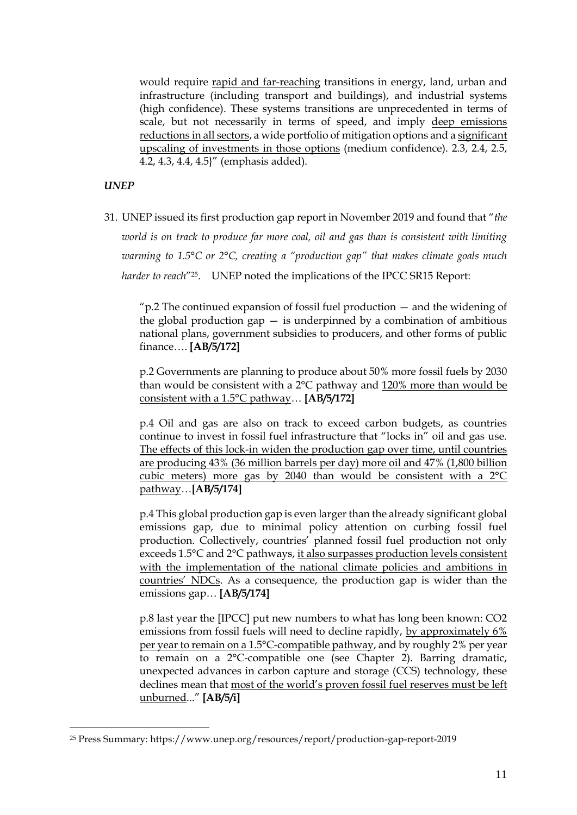would require rapid and far-reaching transitions in energy, land, urban and infrastructure (including transport and buildings), and industrial systems (high confidence). These systems transitions are unprecedented in terms of scale, but not necessarily in terms of speed, and imply deep emissions reductions in all sectors, a wide portfolio of mitigation options and a significant upscaling of investments in those options (medium confidence). 2.3, 2.4, 2.5, 4.2, 4.3, 4.4, 4.5}" (emphasis added).

### *UNEP*

31. UNEP issued its first production gap report in November 2019 and found that "*the world is on track to produce far more coal, oil and gas than is consistent with limiting warming to 1.5°C or 2°C, creating a "production gap" that makes climate goals much harder to reach*"25. UNEP noted the implications of the IPCC SR15 Report:

"p.2 The continued expansion of fossil fuel production — and the widening of the global production gap  $-$  is underpinned by a combination of ambitious national plans, government subsidies to producers, and other forms of public finance…. **[AB/5/172]**

p.2 Governments are planning to produce about 50% more fossil fuels by 2030 than would be consistent with a 2°C pathway and 120% more than would be consistent with a 1.5°C pathway… **[AB/5/172]**

p.4 Oil and gas are also on track to exceed carbon budgets, as countries continue to invest in fossil fuel infrastructure that "locks in" oil and gas use. The effects of this lock-in widen the production gap over time, until countries are producing 43% (36 million barrels per day) more oil and 47% (1,800 billion cubic meters) more gas by 2040 than would be consistent with a 2°C pathway…**[AB/5/174]**

p.4 This global production gap is even larger than the already significant global emissions gap, due to minimal policy attention on curbing fossil fuel production. Collectively, countries' planned fossil fuel production not only exceeds 1.5°C and 2°C pathways, it also surpasses production levels consistent with the implementation of the national climate policies and ambitions in countries' NDCs. As a consequence, the production gap is wider than the emissions gap… **[AB/5/174]**

p.8 last year the [IPCC] put new numbers to what has long been known: CO2 emissions from fossil fuels will need to decline rapidly, by approximately 6% per year to remain on a 1.5°C-compatible pathway, and by roughly 2% per year to remain on a 2°C-compatible one (see Chapter 2). Barring dramatic, unexpected advances in carbon capture and storage (CCS) technology, these declines mean that most of the world's proven fossil fuel reserves must be left unburned..." **[AB/5/i]**

<sup>25</sup> Press Summary: https://www.unep.org/resources/report/production-gap-report-2019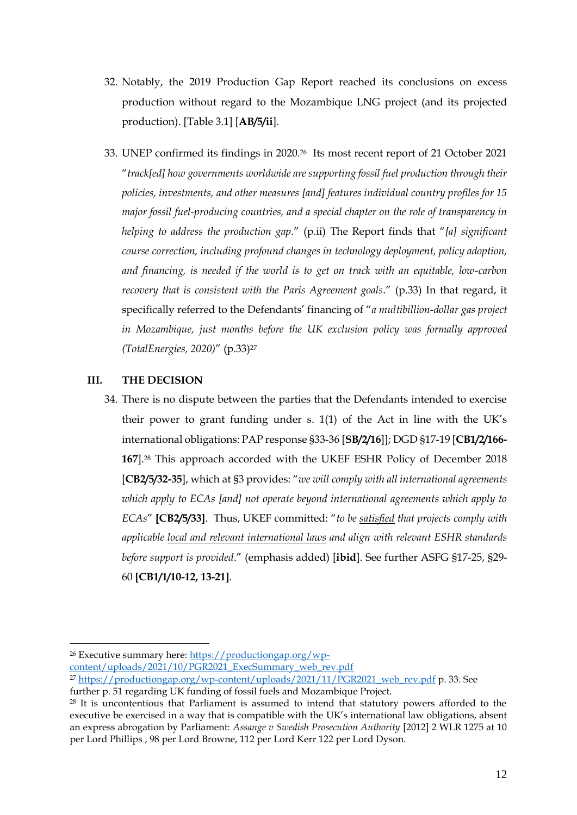- 32. Notably, the 2019 Production Gap Report reached its conclusions on excess production without regard to the Mozambique LNG project (and its projected production). [Table 3.1] [**AB/5/ii**].
- 33. UNEP confirmed its findings in 2020.26 Its most recent report of 21 October 2021 "*track[ed] how governments worldwide are supporting fossil fuel production through their policies, investments, and other measures [and] features individual country profiles for 15 major fossil fuel-producing countries, and a special chapter on the role of transparency in helping to address the production gap*." (p.ii) The Report finds that "*[a] significant course correction, including profound changes in technology deployment, policy adoption, and financing, is needed if the world is to get on track with an equitable, low-carbon recovery that is consistent with the Paris Agreement goals*." (p.33) In that regard, it specifically referred to the Defendants' financing of "*a multibillion-dollar gas project in Mozambique, just months before the UK exclusion policy was formally approved (TotalEnergies, 2020)*" (p.33)<sup>27</sup>

### **III. THE DECISION**

34. There is no dispute between the parties that the Defendants intended to exercise their power to grant funding under s. 1(1) of the Act in line with the UK's international obligations: PAP response §33-36 [**SB/2/16**]]; DGD §17-19 [**CB1/2/166- 167**].<sup>28</sup> This approach accorded with the UKEF ESHR Policy of December 2018 [**CB2/5/32-35**], which at §3 provides: "*we will comply with all international agreements which apply to ECAs [and] not operate beyond international agreements which apply to ECAs*" **[CB2/5/33]**. Thus, UKEF committed: "*to be satisfied that projects comply with applicable local and relevant international laws and align with relevant ESHR standards before support is provided*." (emphasis added) [**ibid**]. See further ASFG §17-25, §29- 60 **[CB1/1/10-12, 13-21]**.

<sup>26</sup> Executive summary here: https://productiongap.org/wp-

content/uploads/2021/10/PGR2021\_ExecSummary\_web\_rev.pdf

<sup>&</sup>lt;sup>27</sup> https://productiongap.org/wp-content/uploads/2021/11/PGR2021\_web\_rev.pdf p. 33. See further p. 51 regarding UK funding of fossil fuels and Mozambique Project.

<sup>&</sup>lt;sup>28</sup> It is uncontentious that Parliament is assumed to intend that statutory powers afforded to the executive be exercised in a way that is compatible with the UK's international law obligations, absent an express abrogation by Parliament: *Assange v Swedish Prosecution Authority* [2012] 2 WLR 1275 at 10 per Lord Phillips , 98 per Lord Browne, 112 per Lord Kerr 122 per Lord Dyson.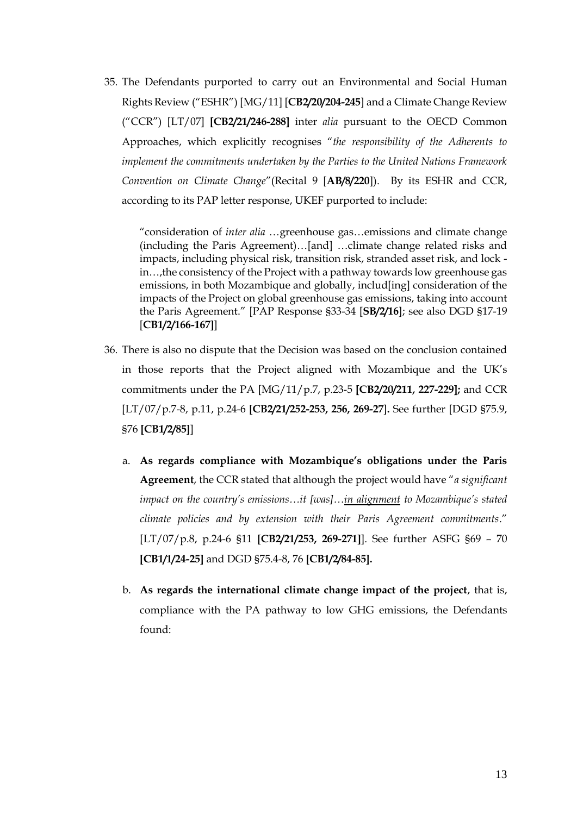35. The Defendants purported to carry out an Environmental and Social Human Rights Review ("ESHR") [MG/11] [**CB2/20/204-245**] and a Climate Change Review ("CCR") [LT/07] **[CB2/21/246-288]** inter *alia* pursuant to the OECD Common Approaches, which explicitly recognises "*the responsibility of the Adherents to implement the commitments undertaken by the Parties to the United Nations Framework Convention on Climate Change*"(Recital 9 [**AB/8/220**]). By its ESHR and CCR, according to its PAP letter response, UKEF purported to include:

"consideration of *inter alia* …greenhouse gas…emissions and climate change (including the Paris Agreement)…[and] …climate change related risks and impacts, including physical risk, transition risk, stranded asset risk, and lock in…,the consistency of the Project with a pathway towards low greenhouse gas emissions, in both Mozambique and globally, includ[ing] consideration of the impacts of the Project on global greenhouse gas emissions, taking into account the Paris Agreement." [PAP Response §33-34 [**SB/2/16**]; see also DGD §17-19 [**CB1/2/166-167]**]

- 36. There is also no dispute that the Decision was based on the conclusion contained in those reports that the Project aligned with Mozambique and the UK's commitments under the PA [MG/11/p.7, p.23-5 **[CB2/20/211, 227-229];** and CCR [LT/07/p.7-8, p.11, p.24-6 **[CB2/21/252-253, 256, 269-27**]**.** See further [DGD §75.9, §76 **[CB1/2/85]**]
	- a. **As regards compliance with Mozambique's obligations under the Paris Agreement**, the CCR stated that although the project would have "*a significant impact on the country's emissions…it [was]…in alignment to Mozambique's stated climate policies and by extension with their Paris Agreement commitments*." [LT/07/p.8, p.24-6 §11 **[CB2/21/253, 269-271]**]. See further ASFG §69 – 70 **[CB1/1/24-25]** and DGD §75.4-8, 76 **[CB1/2/84-85].**
	- b. **As regards the international climate change impact of the project**, that is, compliance with the PA pathway to low GHG emissions, the Defendants found: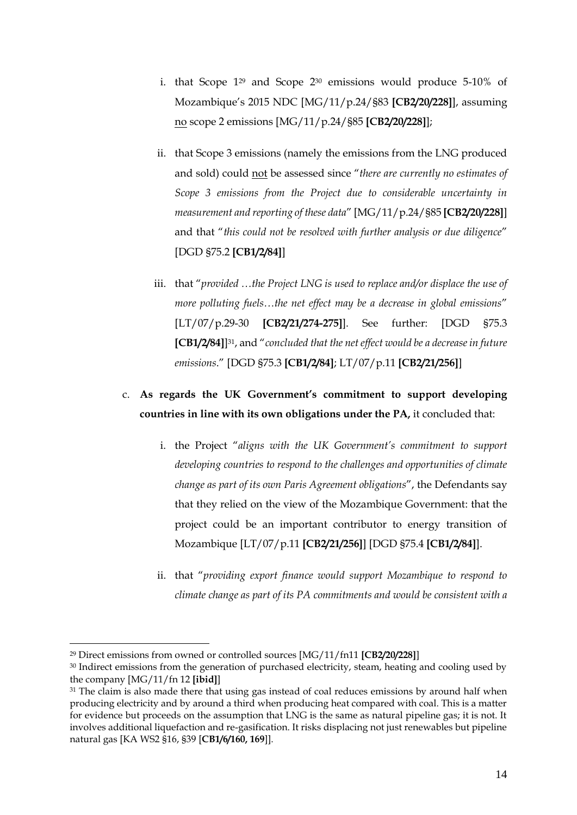- i. that Scope 1<sup>29</sup> and Scope 2<sup>30</sup> emissions would produce 5-10% of Mozambique's 2015 NDC [MG/11/p.24/§83 **[CB2/20/228]**], assuming no scope 2 emissions [MG/11/p.24/§85 **[CB2/20/228]**];
- ii. that Scope 3 emissions (namely the emissions from the LNG produced and sold) could not be assessed since "*there are currently no estimates of Scope 3 emissions from the Project due to considerable uncertainty in measurement and reporting of these data*" [MG/11/p.24/§85 **[CB2/20/228]**] and that "*this could not be resolved with further analysis or due diligence*" [DGD §75.2 **[CB1/2/84]**]
- iii. that "*provided …the Project LNG is used to replace and/or displace the use of more polluting fuels…the net effect may be a decrease in global emissions*" [LT/07/p.29-30 **[CB2/21/274-275]**]. See further: [DGD §75.3 **[CB1/2/84]**] <sup>31</sup>, and "*concluded that the net effect would be a decrease in future emissions*." [DGD §75.3 **[CB1/2/84]**; LT/07/p.11 **[CB2/21/256]**]

# c. **As regards the UK Government's commitment to support developing countries in line with its own obligations under the PA,** it concluded that:

- i. the Project "*aligns with the UK Government's commitment to support developing countries to respond to the challenges and opportunities of climate change as part of its own Paris Agreement obligations*", the Defendants say that they relied on the view of the Mozambique Government: that the project could be an important contributor to energy transition of Mozambique [LT/07/p.11 **[CB2/21/256]**] [DGD §75.4 **[CB1/2/84]**].
- ii. that "*providing export finance would support Mozambique to respond to climate change as part of its PA commitments and would be consistent with a*

<sup>29</sup> Direct emissions from owned or controlled sources [MG/11/fn11 **[CB2/20/228]**]

<sup>&</sup>lt;sup>30</sup> Indirect emissions from the generation of purchased electricity, steam, heating and cooling used by the company [MG/11/fn 12 **[ibid]**]

<sup>&</sup>lt;sup>31</sup> The claim is also made there that using gas instead of coal reduces emissions by around half when producing electricity and by around a third when producing heat compared with coal. This is a matter for evidence but proceeds on the assumption that LNG is the same as natural pipeline gas; it is not. It involves additional liquefaction and re-gasification. It risks displacing not just renewables but pipeline natural gas [KA WS2 §16, §39 [**CB1/6/160, 169**]].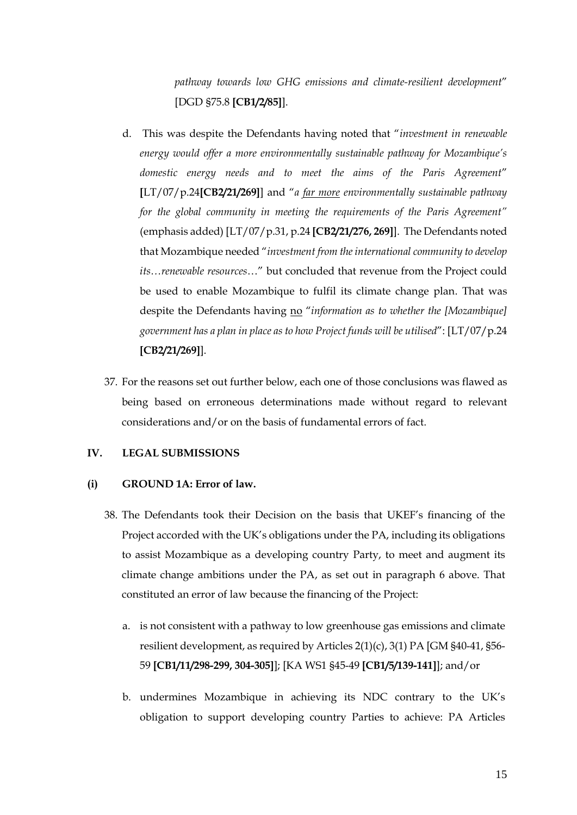*pathway towards low GHG emissions and climate-resilient development*" [DGD §75.8 **[CB1/2/85]**].

- d. This was despite the Defendants having noted that "*investment in renewable energy would offer a more environmentally sustainable pathway for Mozambique's domestic energy needs and to meet the aims of the Paris Agreement*" **[**LT/07/p.24**[CB2/21/269]**] and "*a far more environmentally sustainable pathway for the global community in meeting the requirements of the Paris Agreement"*  (emphasis added) [LT/07/p.31, p.24 **[CB2/21/276, 269]**]. The Defendants noted that Mozambique needed "*investment from the international community to develop its…renewable resources*…" but concluded that revenue from the Project could be used to enable Mozambique to fulfil its climate change plan. That was despite the Defendants having no "*information as to whether the [Mozambique] government has a plan in place as to how Project funds will be utilised*": [LT/07/p.24 **[CB2/21/269]**].
- 37. For the reasons set out further below, each one of those conclusions was flawed as being based on erroneous determinations made without regard to relevant considerations and/or on the basis of fundamental errors of fact.

#### **IV. LEGAL SUBMISSIONS**

#### **(i) GROUND 1A: Error of law.**

- 38. The Defendants took their Decision on the basis that UKEF's financing of the Project accorded with the UK's obligations under the PA, including its obligations to assist Mozambique as a developing country Party, to meet and augment its climate change ambitions under the PA, as set out in paragraph 6 above. That constituted an error of law because the financing of the Project:
	- a. is not consistent with a pathway to low greenhouse gas emissions and climate resilient development, as required by Articles 2(1)(c), 3(1) PA [GM §40-41, §56- 59 **[CB1/11/298-299, 304-305]**]; [KA WS1 §45-49 **[CB1/5/139-141]**]; and/or
	- b. undermines Mozambique in achieving its NDC contrary to the UK's obligation to support developing country Parties to achieve: PA Articles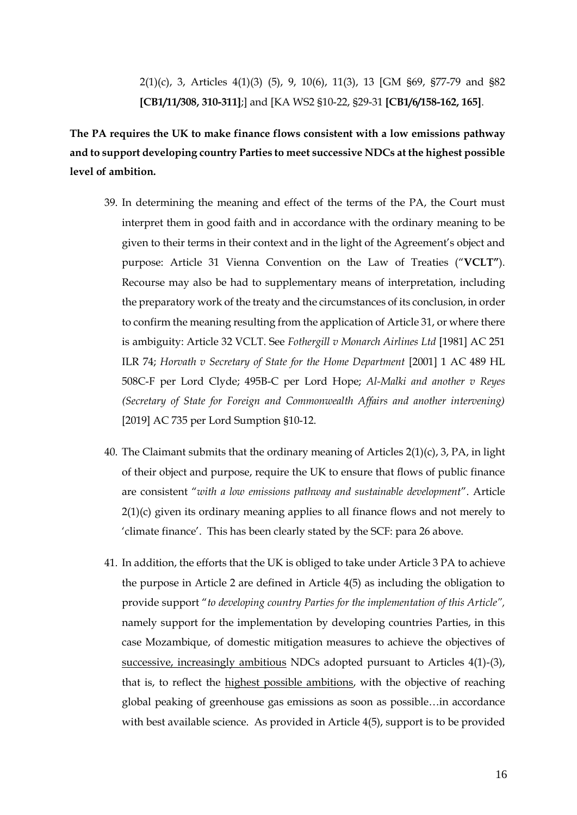2(1)(c), 3, Articles 4(1)(3) (5), 9, 10(6), 11(3), 13 [GM §69, §77-79 and §82 **[CB1/11/308, 310-311]**;] and [KA WS2 §10-22, §29-31 **[CB1/6/158-162, 165]**.

# **The PA requires the UK to make finance flows consistent with a low emissions pathway and to support developing country Parties to meet successive NDCs at the highest possible level of ambition.**

- 39. In determining the meaning and effect of the terms of the PA, the Court must interpret them in good faith and in accordance with the ordinary meaning to be given to their terms in their context and in the light of the Agreement's object and purpose: Article 31 Vienna Convention on the Law of Treaties ("**VCLT"**). Recourse may also be had to supplementary means of interpretation, including the preparatory work of the treaty and the circumstances of its conclusion, in order to confirm the meaning resulting from the application of Article 31, or where there is ambiguity: Article 32 VCLT. See *Fothergill v Monarch Airlines Ltd* [1981] AC 251 ILR 74; *Horvath v Secretary of State for the Home Department* [2001] 1 AC 489 HL 508C-F per Lord Clyde; 495B-C per Lord Hope; *Al-Malki and another v Reyes (Secretary of State for Foreign and Commonwealth Affairs and another intervening)* [2019] AC 735 per Lord Sumption §10-12.
- 40. The Claimant submits that the ordinary meaning of Articles 2(1)(c), 3, PA, in light of their object and purpose, require the UK to ensure that flows of public finance are consistent "*with a low emissions pathway and sustainable development*". Article 2(1)(c) given its ordinary meaning applies to all finance flows and not merely to 'climate finance'. This has been clearly stated by the SCF: para 26 above.
- 41. In addition, the efforts that the UK is obliged to take under Article 3 PA to achieve the purpose in Article 2 are defined in Article 4(5) as including the obligation to provide support "*to developing country Parties for the implementation of this Article",*  namely support for the implementation by developing countries Parties, in this case Mozambique, of domestic mitigation measures to achieve the objectives of successive, increasingly ambitious NDCs adopted pursuant to Articles 4(1)-(3), that is, to reflect the highest possible ambitions, with the objective of reaching global peaking of greenhouse gas emissions as soon as possible…in accordance with best available science. As provided in Article 4(5), support is to be provided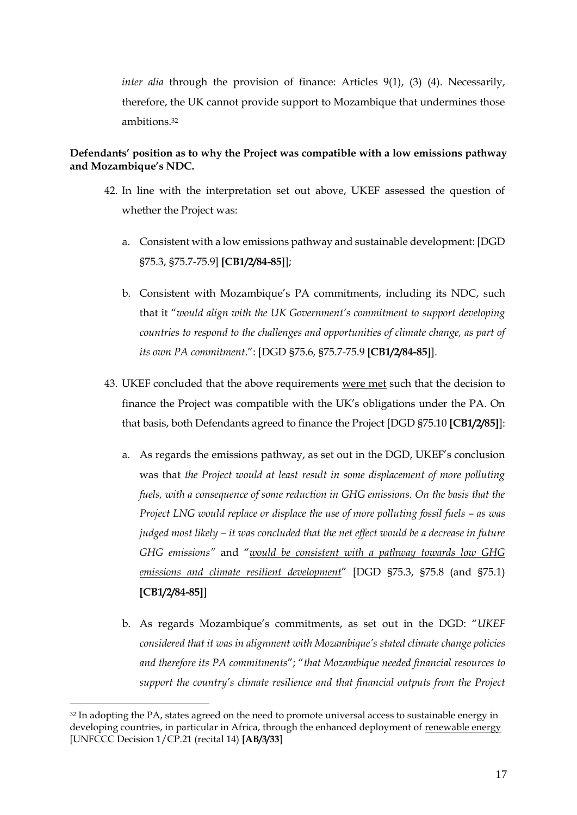*inter alia* through the provision of finance: Articles 9(1), (3) (4). Necessarily, therefore, the UK cannot provide support to Mozambique that undermines those ambitions.<sup>32</sup>

## **Defendants' position as to why the Project was compatible with a low emissions pathway and Mozambique's NDC.**

- 42. In line with the interpretation set out above, UKEF assessed the question of whether the Project was:
	- a. Consistent with a low emissions pathway and sustainable development: [DGD §75.3, §75.7-75.9] **[CB1/2/84-85]**];
	- b. Consistent with Mozambique's PA commitments, including its NDC, such that it "*would align with the UK Government's commitment to support developing countries to respond to the challenges and opportunities of climate change, as part of its own PA commitment*.": [DGD §75.6, §75.7-75.9 **[CB1/2/84-85]**].
- 43. UKEF concluded that the above requirements were met such that the decision to finance the Project was compatible with the UK's obligations under the PA. On that basis, both Defendants agreed to finance the Project [DGD §75.10 **[CB1/2/85]**]:
	- a. As regards the emissions pathway, as set out in the DGD, UKEF's conclusion was that *the Project would at least result in some displacement of more polluting fuels, with a consequence of some reduction in GHG emissions. On the basis that the Project LNG would replace or displace the use of more polluting fossil fuels – as was judged most likely – it was concluded that the net effect would be a decrease in future GHG emissions"* and "*would be consistent with a pathway towards low GHG emissions and climate resilient development*" [DGD §75.3, §75.8 (and §75.1) **[CB1/2/84-85]**]
	- b. As regards Mozambique's commitments, as set out in the DGD: "*UKEF considered that it was in alignment with Mozambique's stated climate change policies and therefore its PA commitments*"; "*that Mozambique needed financial resources to support the country's climate resilience and that financial outputs from the Project*

<sup>&</sup>lt;sup>32</sup> In adopting the PA, states agreed on the need to promote universal access to sustainable energy in developing countries, in particular in Africa, through the enhanced deployment of renewable energy [UNFCCC Decision 1/CP.21 (recital 14) **[AB/3/33**]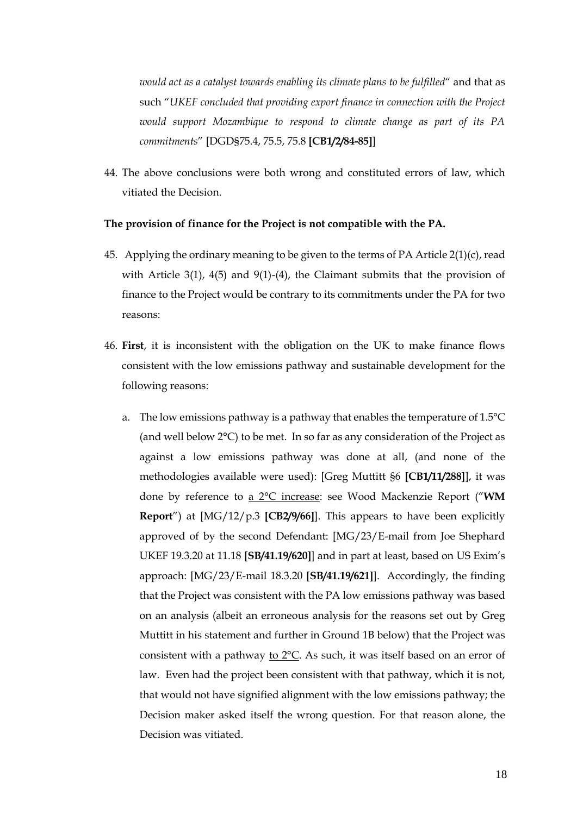*would act as a catalyst towards enabling its climate plans to be fulfilled*" and that as such "*UKEF concluded that providing export finance in connection with the Project would support Mozambique to respond to climate change as part of its PA commitments*" [DGD§75.4, 75.5, 75.8 **[CB1/2/84-85]**]

44. The above conclusions were both wrong and constituted errors of law, which vitiated the Decision.

#### **The provision of finance for the Project is not compatible with the PA.**

- 45. Applying the ordinary meaning to be given to the terms of PA Article 2(1)(c), read with Article 3(1), 4(5) and 9(1)-(4), the Claimant submits that the provision of finance to the Project would be contrary to its commitments under the PA for two reasons:
- 46. **First**, it is inconsistent with the obligation on the UK to make finance flows consistent with the low emissions pathway and sustainable development for the following reasons:
	- a. The low emissions pathway is a pathway that enables the temperature of 1.5°C (and well below  $2^{\circ}C$ ) to be met. In so far as any consideration of the Project as against a low emissions pathway was done at all, (and none of the methodologies available were used): [Greg Muttitt §6 **[CB1/11/288]**], it was done by reference to a 2°C increase: see Wood Mackenzie Report ("**WM Report**") at [MG/12/p.3 **[CB2/9/66]**]. This appears to have been explicitly approved of by the second Defendant: [MG/23/E-mail from Joe Shephard UKEF 19.3.20 at 11.18 **[SB/41.19/620]**] and in part at least, based on US Exim's approach: [MG/23/E-mail 18.3.20 **[SB/41.19/621]**]. Accordingly, the finding that the Project was consistent with the PA low emissions pathway was based on an analysis (albeit an erroneous analysis for the reasons set out by Greg Muttitt in his statement and further in Ground 1B below) that the Project was consistent with a pathway to 2°C. As such, it was itself based on an error of law. Even had the project been consistent with that pathway, which it is not, that would not have signified alignment with the low emissions pathway; the Decision maker asked itself the wrong question. For that reason alone, the Decision was vitiated.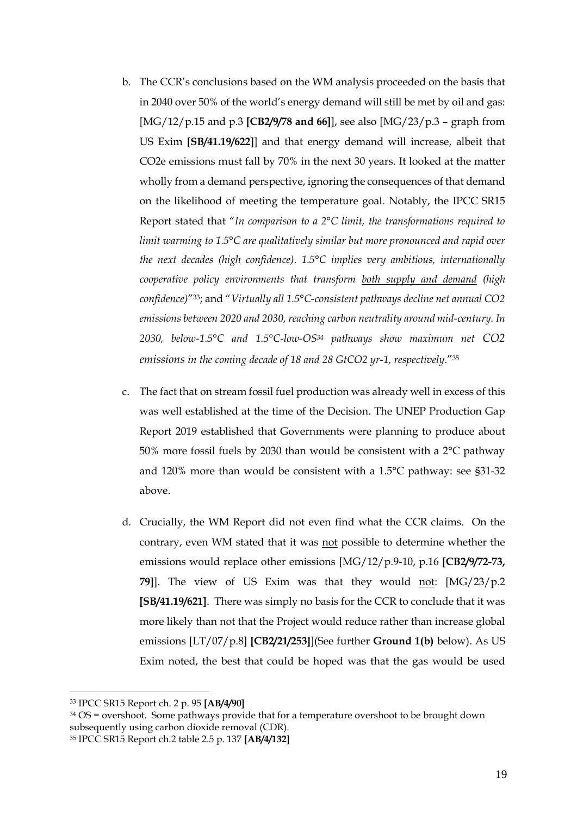- b. The CCR's conclusions based on the WM analysis proceeded on the basis that in 2040 over 50% of the world's energy demand will still be met by oil and gas: [MG/12/p.15 and p.3 **[CB2/9/78 and 66]**], see also [MG/23/p.3 – graph from US Exim **[SB/41.19/622]**] and that energy demand will increase, albeit that CO2e emissions must fall by 70% in the next 30 years. It looked at the matter wholly from a demand perspective, ignoring the consequences of that demand on the likelihood of meeting the temperature goal. Notably, the IPCC SR15 Report stated that "*In comparison to a 2°C limit, the transformations required to limit warming to 1.5°C are qualitatively similar but more pronounced and rapid over the next decades (high confidence). 1.5°C implies very ambitious, internationally cooperative policy environments that transform both supply and demand (high confidence)*"33; and "*Virtually all 1.5°C-consistent pathways decline net annual CO2 emissions between 2020 and 2030, reaching carbon neutrality around mid-century. In 2030, below-1.5°C and 1.5°C-low-OS<sup>34</sup> pathways show maximum net CO2 emissions in the coming decade of 18 and 28 GtCO2 yr-1, respectively*."<sup>35</sup>
- c. The fact that on stream fossil fuel production was already well in excess of this was well established at the time of the Decision. The UNEP Production Gap Report 2019 established that Governments were planning to produce about 50% more fossil fuels by 2030 than would be consistent with a 2°C pathway and 120% more than would be consistent with a 1.5°C pathway: see §31-32 above.
- d. Crucially, the WM Report did not even find what the CCR claims. On the contrary, even WM stated that it was not possible to determine whether the emissions would replace other emissions [MG/12/p.9-10, p.16 **[CB2/9/72-73, 79]**]. The view of US Exim was that they would not: [MG/23/p.2 **[SB/41.19/621]**. There was simply no basis for the CCR to conclude that it was more likely than not that the Project would reduce rather than increase global emissions [LT/07/p.8] **[CB2/21/253]**](See further **Ground 1(b)** below). As US Exim noted, the best that could be hoped was that the gas would be used

<sup>33</sup> IPCC SR15 Report ch. 2 p. 95 **[AB/4/90]**

<sup>34</sup> OS = overshoot. Some pathways provide that for a temperature overshoot to be brought down subsequently using carbon dioxide removal (CDR).

<sup>35</sup> IPCC SR15 Report ch.2 table 2.5 p. 137 **[AB/4/132]**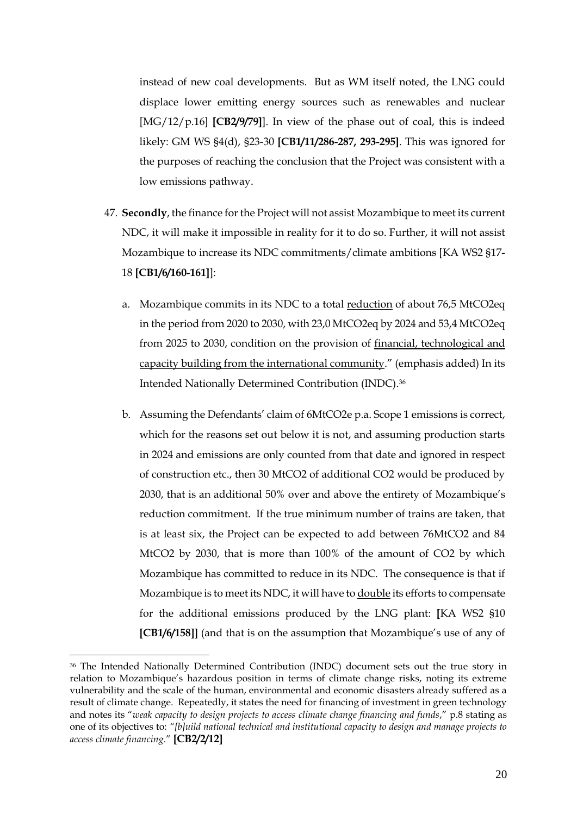instead of new coal developments. But as WM itself noted, the LNG could displace lower emitting energy sources such as renewables and nuclear [MG/12/p.16] **[CB2/9/79]**]. In view of the phase out of coal, this is indeed likely: GM WS §4(d), §23-30 **[CB1/11/286-287, 293-295]**. This was ignored for the purposes of reaching the conclusion that the Project was consistent with a low emissions pathway.

- 47. **Secondly**, the finance for the Project will not assist Mozambique to meet its current NDC, it will make it impossible in reality for it to do so. Further, it will not assist Mozambique to increase its NDC commitments/climate ambitions [KA WS2 §17- 18 **[CB1/6/160-161]**]:
	- a. Mozambique commits in its NDC to a total reduction of about 76,5 MtCO2eq in the period from 2020 to 2030, with 23,0 MtCO2eq by 2024 and 53,4 MtCO2eq from 2025 to 2030, condition on the provision of financial, technological and capacity building from the international community." (emphasis added) In its Intended Nationally Determined Contribution (INDC). 36
	- b. Assuming the Defendants' claim of 6MtCO2e p.a. Scope 1 emissions is correct, which for the reasons set out below it is not, and assuming production starts in 2024 and emissions are only counted from that date and ignored in respect of construction etc., then 30 MtCO2 of additional CO2 would be produced by 2030, that is an additional 50% over and above the entirety of Mozambique's reduction commitment. If the true minimum number of trains are taken, that is at least six, the Project can be expected to add between 76MtCO2 and 84 MtCO2 by 2030, that is more than 100% of the amount of CO2 by which Mozambique has committed to reduce in its NDC. The consequence is that if Mozambique is to meet its NDC, it will have to double its efforts to compensate for the additional emissions produced by the LNG plant: **[**KA WS2 §10 **[CB1/6/158]]** (and that is on the assumption that Mozambique's use of any of

<sup>36</sup> The Intended Nationally Determined Contribution (INDC) document sets out the true story in relation to Mozambique's hazardous position in terms of climate change risks, noting its extreme vulnerability and the scale of the human, environmental and economic disasters already suffered as a result of climate change. Repeatedly, it states the need for financing of investment in green technology and notes its "*weak capacity to design projects to access climate change financing and funds*," p.8 stating as one of its objectives to: *"[b]uild national technical and institutional capacity to design and manage projects to access climate financing*." **[CB2/2/12]**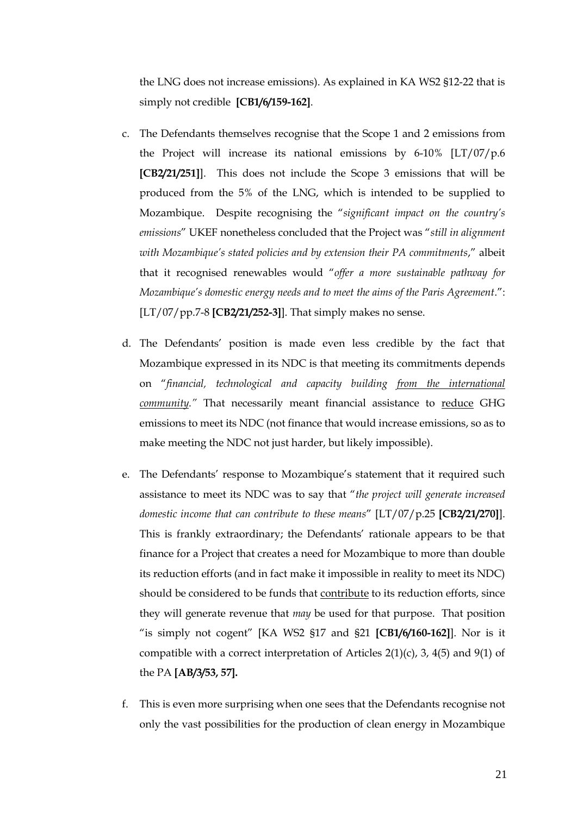the LNG does not increase emissions). As explained in KA WS2 §12-22 that is simply not credible **[CB1/6/159-162]**.

- c. The Defendants themselves recognise that the Scope 1 and 2 emissions from the Project will increase its national emissions by 6-10% [LT/07/p.6 **[CB2/21/251]**]. This does not include the Scope 3 emissions that will be produced from the 5% of the LNG, which is intended to be supplied to Mozambique. Despite recognising the "*significant impact on the country's emissions*" UKEF nonetheless concluded that the Project was "*still in alignment with Mozambique's stated policies and by extension their PA commitments*," albeit that it recognised renewables would "*offer a more sustainable pathway for Mozambique's domestic energy needs and to meet the aims of the Paris Agreement*.": [LT/07/pp.7-8 **[CB2/21/252-3]**]. That simply makes no sense.
- d. The Defendants' position is made even less credible by the fact that Mozambique expressed in its NDC is that meeting its commitments depends on "*financial, technological and capacity building from the international community."* That necessarily meant financial assistance to reduce GHG emissions to meet its NDC (not finance that would increase emissions, so as to make meeting the NDC not just harder, but likely impossible).
- e. The Defendants' response to Mozambique's statement that it required such assistance to meet its NDC was to say that "*the project will generate increased domestic income that can contribute to these means*" [LT/07/p.25 **[CB2/21/270]**]. This is frankly extraordinary; the Defendants' rationale appears to be that finance for a Project that creates a need for Mozambique to more than double its reduction efforts (and in fact make it impossible in reality to meet its NDC) should be considered to be funds that contribute to its reduction efforts, since they will generate revenue that *may* be used for that purpose. That position "is simply not cogent" [KA WS2 §17 and §21 **[CB1/6/160-162]**]. Nor is it compatible with a correct interpretation of Articles  $2(1)(c)$ , 3, 4(5) and 9(1) of the PA **[AB/3/53, 57].**
- f. This is even more surprising when one sees that the Defendants recognise not only the vast possibilities for the production of clean energy in Mozambique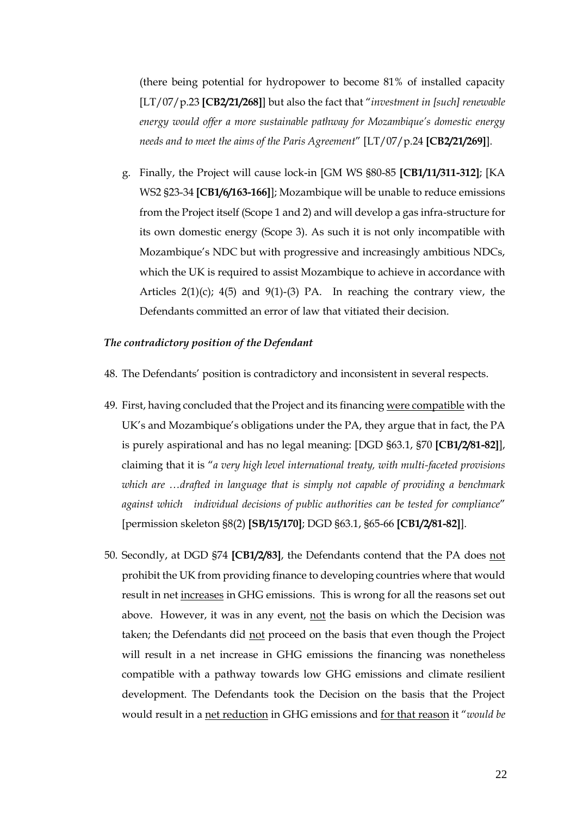(there being potential for hydropower to become 81% of installed capacity [LT/07/p.23 **[CB2/21/268]**] but also the fact that "*investment in [such] renewable energy would offer a more sustainable pathway for Mozambique's domestic energy needs and to meet the aims of the Paris Agreement*" [LT/07/p.24 **[CB2/21/269]**].

g. Finally, the Project will cause lock-in [GM WS §80-85 **[CB1/11/311-312]**; [KA WS2 §23-34 **[CB1/6/163-166]**]; Mozambique will be unable to reduce emissions from the Project itself (Scope 1 and 2) and will develop a gas infra-structure for its own domestic energy (Scope 3). As such it is not only incompatible with Mozambique's NDC but with progressive and increasingly ambitious NDCs, which the UK is required to assist Mozambique to achieve in accordance with Articles  $2(1)(c)$ ;  $4(5)$  and  $9(1)-(3)$  PA. In reaching the contrary view, the Defendants committed an error of law that vitiated their decision.

#### *The contradictory position of the Defendant*

- 48. The Defendants' position is contradictory and inconsistent in several respects.
- 49. First, having concluded that the Project and its financing were compatible with the UK's and Mozambique's obligations under the PA, they argue that in fact, the PA is purely aspirational and has no legal meaning: [DGD §63.1, §70 **[CB1/2/81-82]**], claiming that it is "*a very high level international treaty, with multi-faceted provisions which are …drafted in language that is simply not capable of providing a benchmark against which individual decisions of public authorities can be tested for compliance*" [permission skeleton §8(2) **[SB/15/170]**; DGD §63.1, §65-66 **[CB1/2/81-82]**].
- 50. Secondly, at DGD §74 **[CB1/2/83]**, the Defendants contend that the PA does not prohibit the UK from providing finance to developing countries where that would result in net increases in GHG emissions. This is wrong for all the reasons set out above. However, it was in any event, not the basis on which the Decision was taken; the Defendants did not proceed on the basis that even though the Project will result in a net increase in GHG emissions the financing was nonetheless compatible with a pathway towards low GHG emissions and climate resilient development. The Defendants took the Decision on the basis that the Project would result in a net reduction in GHG emissions and for that reason it "*would be*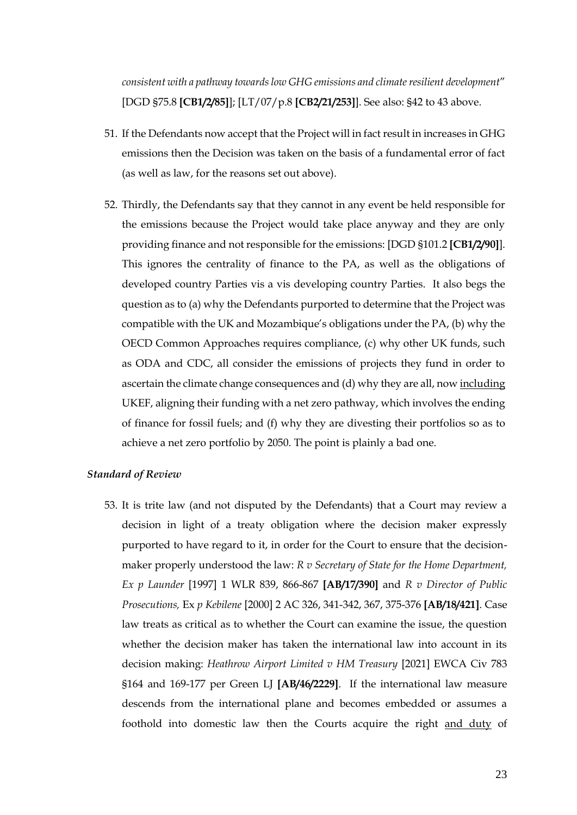*consistent with a pathway towards low GHG emissions and climate resilient development*" [DGD §75.8 **[CB1/2/85]**]; [LT/07/p.8 **[CB2/21/253]**]. See also: §42 to 43 above.

- 51. If the Defendants now accept that the Project will in fact result in increases in GHG emissions then the Decision was taken on the basis of a fundamental error of fact (as well as law, for the reasons set out above).
- 52. Thirdly, the Defendants say that they cannot in any event be held responsible for the emissions because the Project would take place anyway and they are only providing finance and not responsible for the emissions: [DGD §101.2 **[CB1/2/90]**]. This ignores the centrality of finance to the PA, as well as the obligations of developed country Parties vis a vis developing country Parties. It also begs the question as to (a) why the Defendants purported to determine that the Project was compatible with the UK and Mozambique's obligations under the PA, (b) why the OECD Common Approaches requires compliance, (c) why other UK funds, such as ODA and CDC, all consider the emissions of projects they fund in order to ascertain the climate change consequences and (d) why they are all, now including UKEF, aligning their funding with a net zero pathway, which involves the ending of finance for fossil fuels; and (f) why they are divesting their portfolios so as to achieve a net zero portfolio by 2050. The point is plainly a bad one.

#### *Standard of Review*

53. It is trite law (and not disputed by the Defendants) that a Court may review a decision in light of a treaty obligation where the decision maker expressly purported to have regard to it, in order for the Court to ensure that the decisionmaker properly understood the law: *R v Secretary of State for the Home Department, Ex p Launder* [1997] 1 WLR 839, 866-867 **[AB/17/390]** and *R v Director of Public Prosecutions,* Ex *p Kebilene* [2000] 2 AC 326, 341-342, 367, 375-376 **[AB/18/421]**. Case law treats as critical as to whether the Court can examine the issue, the question whether the decision maker has taken the international law into account in its decision making: *Heathrow Airport Limited v HM Treasury* [2021] EWCA Civ 783 §164 and 169-177 per Green LJ **[AB/46/2229]**. If the international law measure descends from the international plane and becomes embedded or assumes a foothold into domestic law then the Courts acquire the right and duty of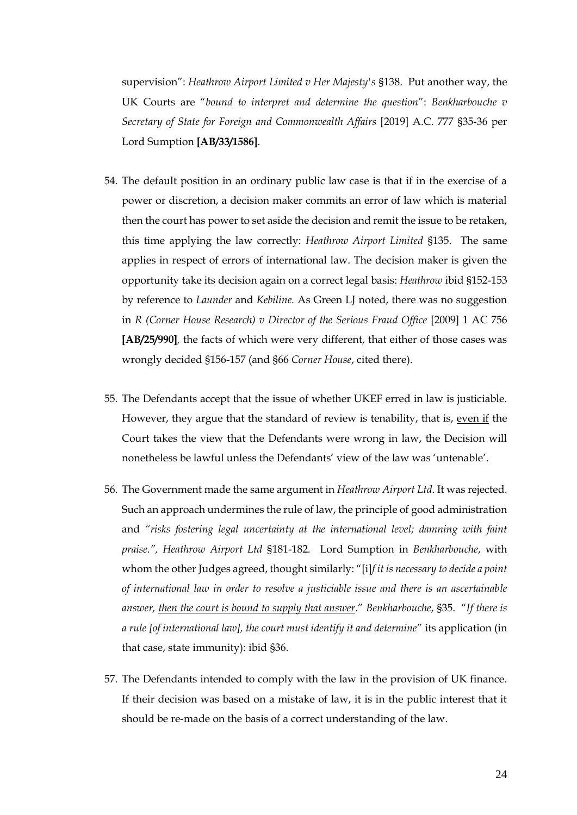supervision": *Heathrow Airport Limited v Her Majesty's* §138. Put another way, the UK Courts are "*bound to interpret and determine the question*": *Benkharbouche v Secretary of State for Foreign and Commonwealth Affairs* [2019] A.C. 777 §35-36 per Lord Sumption **[AB/33/1586]**.

- 54. The default position in an ordinary public law case is that if in the exercise of a power or discretion, a decision maker commits an error of law which is material then the court has power to set aside the decision and remit the issue to be retaken, this time applying the law correctly: *Heathrow Airport Limited* §135. The same applies in respect of errors of international law. The decision maker is given the opportunity take its decision again on a correct legal basis: *Heathrow* ibid §152-153 by reference to *Launder* and *Kebiline.* As Green LJ noted, there was no suggestion in *R (Corner House Research) v Director of the Serious Fraud Office* [2009] 1 AC 756 **[AB/25/990]***,* the facts of which were very different, that either of those cases was wrongly decided §156-157 (and §66 *Corner House*, cited there).
- 55. The Defendants accept that the issue of whether UKEF erred in law is justiciable. However, they argue that the standard of review is tenability, that is, even if the Court takes the view that the Defendants were wrong in law, the Decision will nonetheless be lawful unless the Defendants' view of the law was 'untenable'.
- 56. The Government made the same argument in *Heathrow Airport Ltd*. It was rejected. Such an approach undermines the rule of law, the principle of good administration and *"risks fostering legal uncertainty at the international level; damning with faint praise.", Heathrow Airport Ltd* §181-182*.* Lord Sumption in *Benkharbouche*, with whom the other Judges agreed, thought similarly: "[i]*f it is necessary to decide a point of international law in order to resolve a justiciable issue and there is an ascertainable answer, then the court is bound to supply that answer*." *Benkharbouche*, §35. "*If there is a rule [of international law], the court must identify it and determine*" its application (in that case, state immunity): ibid §36.
- 57. The Defendants intended to comply with the law in the provision of UK finance. If their decision was based on a mistake of law, it is in the public interest that it should be re-made on the basis of a correct understanding of the law.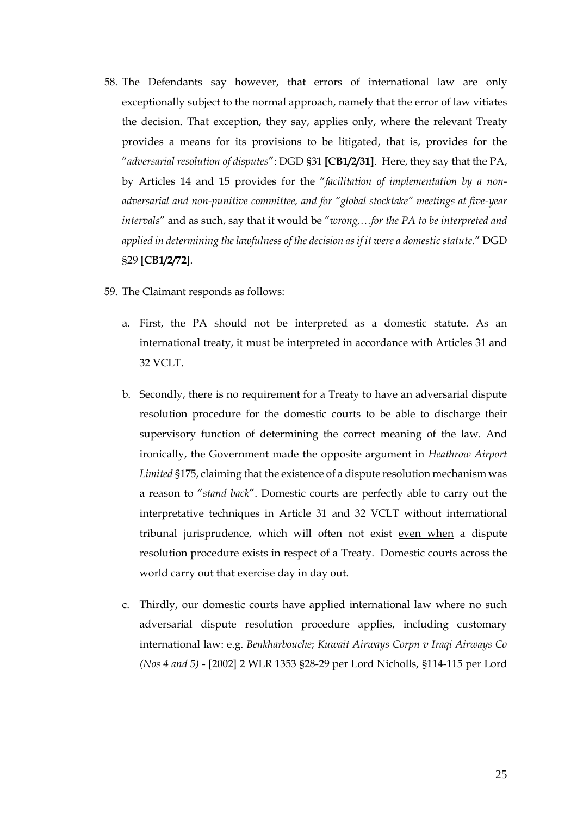- 58. The Defendants say however, that errors of international law are only exceptionally subject to the normal approach, namely that the error of law vitiates the decision. That exception, they say, applies only, where the relevant Treaty provides a means for its provisions to be litigated, that is, provides for the "*adversarial resolution of disputes*": DGD §31 **[CB1/2/31]**. Here, they say that the PA, by Articles 14 and 15 provides for the "*facilitation of implementation by a nonadversarial and non-punitive committee, and for "global stocktake" meetings at five-year intervals*" and as such, say that it would be "*wrong,…for the PA to be interpreted and applied in determining the lawfulness of the decision as if it were a domestic statute.*" DGD §29 **[CB1/2/72]**.
- 59. The Claimant responds as follows:
	- a. First, the PA should not be interpreted as a domestic statute. As an international treaty, it must be interpreted in accordance with Articles 31 and 32 VCLT.
	- b. Secondly, there is no requirement for a Treaty to have an adversarial dispute resolution procedure for the domestic courts to be able to discharge their supervisory function of determining the correct meaning of the law. And ironically, the Government made the opposite argument in *Heathrow Airport Limited* §175, claiming that the existence of a dispute resolution mechanism was a reason to "*stand back*". Domestic courts are perfectly able to carry out the interpretative techniques in Article 31 and 32 VCLT without international tribunal jurisprudence, which will often not exist even when a dispute resolution procedure exists in respect of a Treaty. Domestic courts across the world carry out that exercise day in day out.
	- c. Thirdly, our domestic courts have applied international law where no such adversarial dispute resolution procedure applies, including customary international law: e.g. *Benkharbouche*; *Kuwait Airways Corpn v Iraqi Airways Co (Nos 4 and 5)* - [2002] 2 WLR 1353 §28-29 per Lord Nicholls, §114-115 per Lord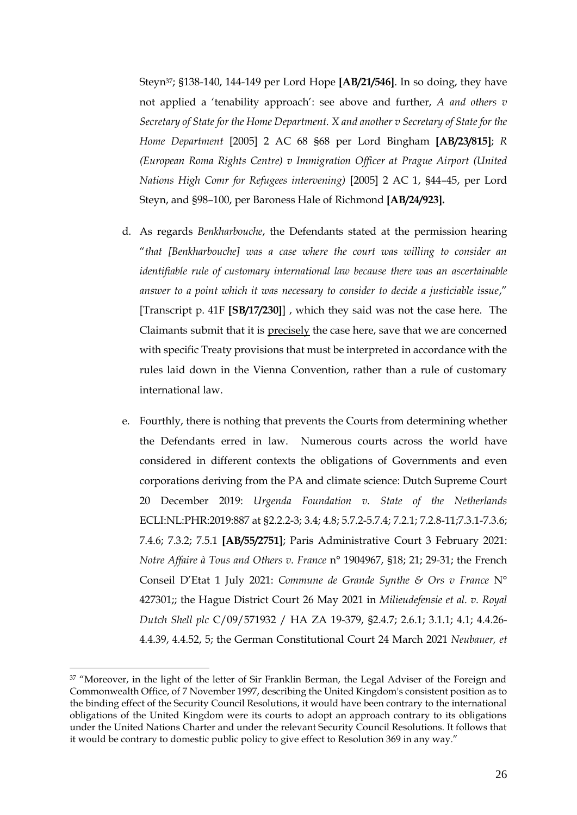Steyn37; §138-140, 144-149 per Lord Hope **[AB/21/546]**. In so doing, they have not applied a 'tenability approach': see above and further, *A and others v Secretary of State for the Home Department. X and another v Secretary of State for the Home Department* [2005] 2 AC 68 §68 per Lord Bingham **[AB/23/815]**; *R (European Roma Rights Centre) v Immigration Officer at Prague Airport (United Nations High Comr for Refugees intervening)* [2005] 2 AC 1, §44–45, per Lord Steyn, and §98–100, per Baroness Hale of Richmond **[AB/24/923].**

- d. As regards *Benkharbouche*, the Defendants stated at the permission hearing "*that [Benkharbouche] was a case where the court was willing to consider an identifiable rule of customary international law because there was an ascertainable answer to a point which it was necessary to consider to decide a justiciable issue*," [Transcript p. 41F **[SB/17/230]**] , which they said was not the case here. The Claimants submit that it is precisely the case here, save that we are concerned with specific Treaty provisions that must be interpreted in accordance with the rules laid down in the Vienna Convention, rather than a rule of customary international law.
- e. Fourthly, there is nothing that prevents the Courts from determining whether the Defendants erred in law. Numerous courts across the world have considered in different contexts the obligations of Governments and even corporations deriving from the PA and climate science: Dutch Supreme Court 20 December 2019: *Urgenda Foundation v. State of the Netherlands* ECLI:NL:PHR:2019:887 at §2.2.2-3; 3.4; 4.8; 5.7.2-5.7.4; 7.2.1; 7.2.8-11;7.3.1-7.3.6; 7.4.6; 7.3.2; 7.5.1 **[AB/55/2751]**; Paris Administrative Court 3 February 2021: *Notre Affaire à Tous and Others v. France* n° 1904967, §18; 21; 29-31; the French Conseil D'Etat 1 July 2021: *Commune de Grande Synthe & Ors v France* N° 427301;; the Hague District Court 26 May 2021 in *Milieudefensie et al. v. Royal Dutch Shell plc* C/09/571932 / HA ZA 19-379, §2.4.7; 2.6.1; 3.1.1; 4.1; 4.4.26- 4.4.39, 4.4.52, 5; the German Constitutional Court 24 March 2021 *Neubauer, et*

<sup>&</sup>lt;sup>37</sup> "Moreover, in the light of the letter of Sir Franklin Berman, the Legal Adviser of the Foreign and Commonwealth Office, of 7 November 1997, describing the United Kingdom's consistent position as to the binding effect of the Security Council Resolutions, it would have been contrary to the international obligations of the United Kingdom were its courts to adopt an approach contrary to its obligations under the United Nations Charter and under the relevant Security Council Resolutions. It follows that it would be contrary to domestic public policy to give effect to Resolution 369 in any way."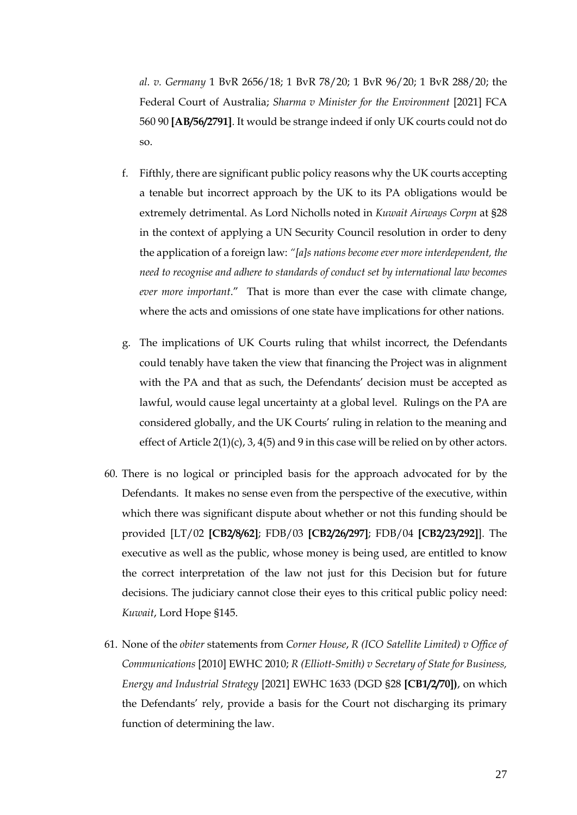*al. v. Germany* 1 BvR 2656/18; 1 BvR 78/20; 1 BvR 96/20; 1 BvR 288/20; the Federal Court of Australia; *Sharma v Minister for the Environment* [2021] FCA 560 90 **[AB/56/2791]**. It would be strange indeed if only UK courts could not do so.

- f. Fifthly, there are significant public policy reasons why the UK courts accepting a tenable but incorrect approach by the UK to its PA obligations would be extremely detrimental. As Lord Nicholls noted in *Kuwait Airways Corpn* at §28 in the context of applying a UN Security Council resolution in order to deny the application of a foreign law: *"[a]s nations become ever more interdependent, the need to recognise and adhere to standards of conduct set by international law becomes ever more important*." That is more than ever the case with climate change, where the acts and omissions of one state have implications for other nations.
- g. The implications of UK Courts ruling that whilst incorrect, the Defendants could tenably have taken the view that financing the Project was in alignment with the PA and that as such, the Defendants' decision must be accepted as lawful, would cause legal uncertainty at a global level. Rulings on the PA are considered globally, and the UK Courts' ruling in relation to the meaning and effect of Article  $2(1)(c)$ , 3, 4(5) and 9 in this case will be relied on by other actors.
- 60. There is no logical or principled basis for the approach advocated for by the Defendants. It makes no sense even from the perspective of the executive, within which there was significant dispute about whether or not this funding should be provided [LT/02 **[CB2/8/62]**; FDB/03 **[CB2/26/297]**; FDB/04 **[CB2/23/292]**]. The executive as well as the public, whose money is being used, are entitled to know the correct interpretation of the law not just for this Decision but for future decisions. The judiciary cannot close their eyes to this critical public policy need: *Kuwait*, Lord Hope §145.
- 61. None of the *obiter* statements from *Corner House*, *R (ICO Satellite Limited) v Office of Communications* [2010] EWHC 2010; *R (Elliott-Smith) v Secretary of State for Business, Energy and Industrial Strategy* [2021] EWHC 1633 (DGD §28 **[CB1/2/70])**, on which the Defendants' rely, provide a basis for the Court not discharging its primary function of determining the law.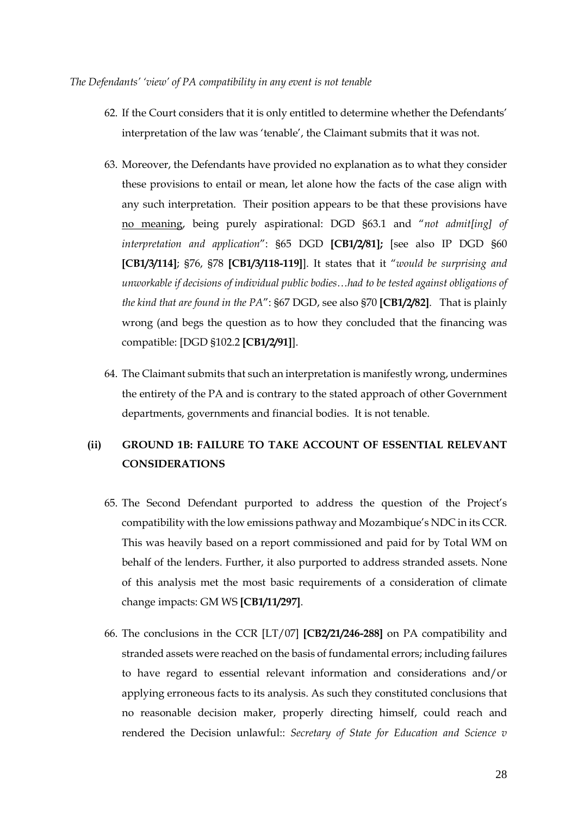- 62. If the Court considers that it is only entitled to determine whether the Defendants' interpretation of the law was 'tenable', the Claimant submits that it was not.
- 63. Moreover, the Defendants have provided no explanation as to what they consider these provisions to entail or mean, let alone how the facts of the case align with any such interpretation. Their position appears to be that these provisions have no meaning, being purely aspirational: DGD §63.1 and "*not admit[ing] of interpretation and application*": §65 DGD **[CB1/2/81];** [see also IP DGD §60 **[CB1/3/114]**; §76, §78 **[CB1/3/118-119]**]. It states that it "*would be surprising and unworkable if decisions of individual public bodies…had to be tested against obligations of the kind that are found in the PA*": §67 DGD, see also §70 **[CB1/2/82]**. That is plainly wrong (and begs the question as to how they concluded that the financing was compatible: [DGD §102.2 **[CB1/2/91]**].
- 64. The Claimant submits that such an interpretation is manifestly wrong, undermines the entirety of the PA and is contrary to the stated approach of other Government departments, governments and financial bodies. It is not tenable.

# **(ii) GROUND 1B: FAILURE TO TAKE ACCOUNT OF ESSENTIAL RELEVANT CONSIDERATIONS**

- 65. The Second Defendant purported to address the question of the Project's compatibility with the low emissions pathway and Mozambique's NDC in its CCR. This was heavily based on a report commissioned and paid for by Total WM on behalf of the lenders. Further, it also purported to address stranded assets. None of this analysis met the most basic requirements of a consideration of climate change impacts: GM WS **[CB1/11/297]**.
- 66. The conclusions in the CCR [LT/07] **[CB2/21/246-288]** on PA compatibility and stranded assets were reached on the basis of fundamental errors; including failures to have regard to essential relevant information and considerations and/or applying erroneous facts to its analysis. As such they constituted conclusions that no reasonable decision maker, properly directing himself, could reach and rendered the Decision unlawful:: *Secretary of State for Education and Science v*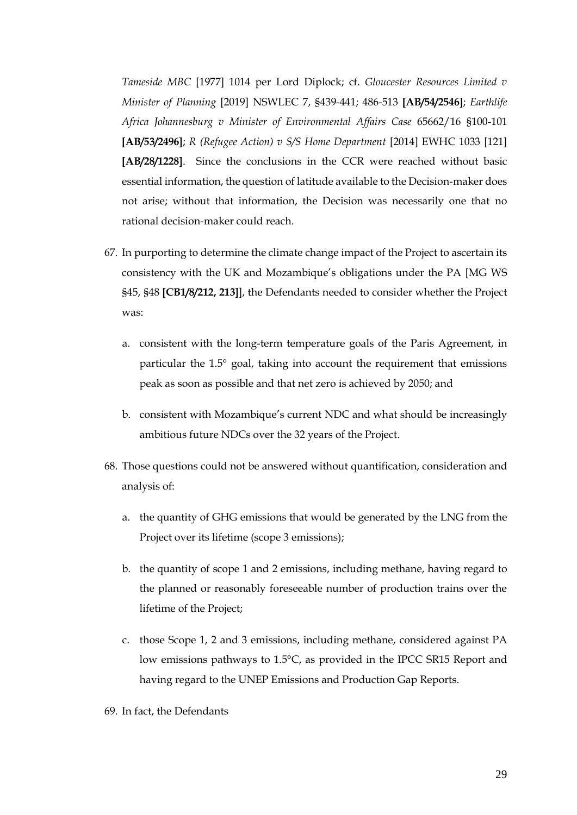*Tameside MBC* [1977] 1014 per Lord Diplock; cf. *Gloucester Resources Limited v Minister of Planning* [2019] NSWLEC 7, §439-441; 486-513 **[AB/54/2546]**; *Earthlife Africa Johannesburg v Minister of Environmental Affairs Case* 65662/16 §100-101 **[AB/53/2496]**; *R (Refugee Action) v S/S Home Department* [2014] EWHC 1033 [121] **[AB/28/1228]**. Since the conclusions in the CCR were reached without basic essential information, the question of latitude available to the Decision-maker does not arise; without that information, the Decision was necessarily one that no rational decision-maker could reach.

- 67. In purporting to determine the climate change impact of the Project to ascertain its consistency with the UK and Mozambique's obligations under the PA [MG WS §45, §48 **[CB1/8/212, 213]**], the Defendants needed to consider whether the Project was:
	- a. consistent with the long-term temperature goals of the Paris Agreement, in particular the 1.5° goal, taking into account the requirement that emissions peak as soon as possible and that net zero is achieved by 2050; and
	- b. consistent with Mozambique's current NDC and what should be increasingly ambitious future NDCs over the 32 years of the Project.
- 68. Those questions could not be answered without quantification, consideration and analysis of:
	- a. the quantity of GHG emissions that would be generated by the LNG from the Project over its lifetime (scope 3 emissions);
	- b. the quantity of scope 1 and 2 emissions, including methane, having regard to the planned or reasonably foreseeable number of production trains over the lifetime of the Project;
	- c. those Scope 1, 2 and 3 emissions, including methane, considered against PA low emissions pathways to 1.5°C, as provided in the IPCC SR15 Report and having regard to the UNEP Emissions and Production Gap Reports.

69. In fact, the Defendants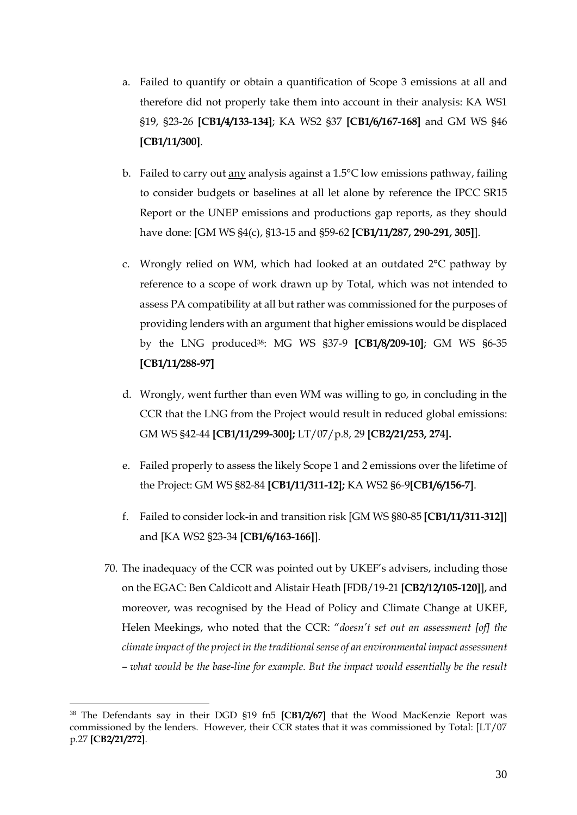- a. Failed to quantify or obtain a quantification of Scope 3 emissions at all and therefore did not properly take them into account in their analysis: KA WS1 §19, §23-26 **[CB1/4/133-134]**; KA WS2 §37 **[CB1/6/167-168]** and GM WS §46 **[CB1/11/300]**.
- b. Failed to carry out any analysis against a 1.5°C low emissions pathway, failing to consider budgets or baselines at all let alone by reference the IPCC SR15 Report or the UNEP emissions and productions gap reports, as they should have done: [GM WS §4(c), §13-15 and §59-62 **[CB1/11/287, 290-291, 305]**].
- c. Wrongly relied on WM, which had looked at an outdated 2°C pathway by reference to a scope of work drawn up by Total, which was not intended to assess PA compatibility at all but rather was commissioned for the purposes of providing lenders with an argument that higher emissions would be displaced by the LNG produced38: MG WS §37-9 **[CB1/8/209-10]**; GM WS §6-35 **[CB1/11/288-97]**
- d. Wrongly, went further than even WM was willing to go, in concluding in the CCR that the LNG from the Project would result in reduced global emissions: GM WS §42-44 **[CB1/11/299-300];** LT/07/p.8, 29 **[CB2/21/253, 274].**
- e. Failed properly to assess the likely Scope 1 and 2 emissions over the lifetime of the Project: GM WS §82-84 **[CB1/11/311-12];** KA WS2 §6-9**[CB1/6/156-7]**.
- f. Failed to consider lock-in and transition risk [GM WS §80-85 **[CB1/11/311-312]**] and [KA WS2 §23-34 **[CB1/6/163-166]**].
- 70. The inadequacy of the CCR was pointed out by UKEF's advisers, including those on the EGAC: Ben Caldicott and Alistair Heath [FDB/19-21 **[CB2/12/105-120]**], and moreover, was recognised by the Head of Policy and Climate Change at UKEF, Helen Meekings, who noted that the CCR: "*doesn't set out an assessment [of] the climate impact of the project in the traditional sense of an environmental impact assessment – what would be the base-line for example. But the impact would essentially be the result*

<sup>38</sup> The Defendants say in their DGD §19 fn5 **[CB1/2/67]** that the Wood MacKenzie Report was commissioned by the lenders. However, their CCR states that it was commissioned by Total: [LT/07 p.27 **[CB2/21/272]**.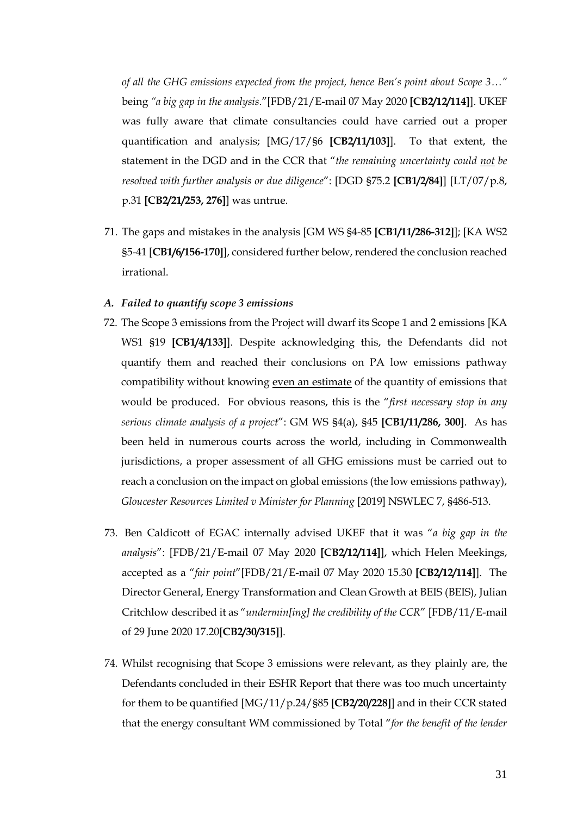*of all the GHG emissions expected from the project, hence Ben's point about Scope 3…"*  being *"a big gap in the analysis*."[FDB/21/E-mail 07 May 2020 **[CB2/12/114]**]. UKEF was fully aware that climate consultancies could have carried out a proper quantification and analysis; [MG/17/§6 **[CB2/11/103]**]. To that extent, the statement in the DGD and in the CCR that "*the remaining uncertainty could not be resolved with further analysis or due diligence*": [DGD §75.2 **[CB1/2/84]**] [LT/07/p.8, p.31 **[CB2/21/253, 276]**] was untrue.

71. The gaps and mistakes in the analysis [GM WS §4-85 **[CB1/11/286-312]**]; [KA WS2 §5-41 [**CB1/6/156-170]**], considered further below, rendered the conclusion reached irrational.

#### *A. Failed to quantify scope 3 emissions*

- 72. The Scope 3 emissions from the Project will dwarf its Scope 1 and 2 emissions [KA WS1 §19 **[CB1/4/133]**]. Despite acknowledging this, the Defendants did not quantify them and reached their conclusions on PA low emissions pathway compatibility without knowing even an estimate of the quantity of emissions that would be produced. For obvious reasons, this is the "*first necessary stop in any serious climate analysis of a project*": GM WS §4(a), §45 **[CB1/11/286, 300]**. As has been held in numerous courts across the world, including in Commonwealth jurisdictions, a proper assessment of all GHG emissions must be carried out to reach a conclusion on the impact on global emissions (the low emissions pathway), *Gloucester Resources Limited v Minister for Planning* [2019] NSWLEC 7, §486-513.
- 73. Ben Caldicott of EGAC internally advised UKEF that it was "*a big gap in the analysis*": [FDB/21/E-mail 07 May 2020 **[CB2/12/114]**], which Helen Meekings, accepted as a "*fair point*"[FDB/21/E-mail 07 May 2020 15.30 **[CB2/12/114]**]. The Director General, Energy Transformation and Clean Growth at BEIS (BEIS), Julian Critchlow described it as "*undermin[ing] the credibility of the CCR*" [FDB/11/E-mail of 29 June 2020 17.20**[CB2/30/315]**].
- 74. Whilst recognising that Scope 3 emissions were relevant, as they plainly are, the Defendants concluded in their ESHR Report that there was too much uncertainty for them to be quantified [MG/11/p.24/§85 **[CB2/20/228]**] and in their CCR stated that the energy consultant WM commissioned by Total "*for the benefit of the lender*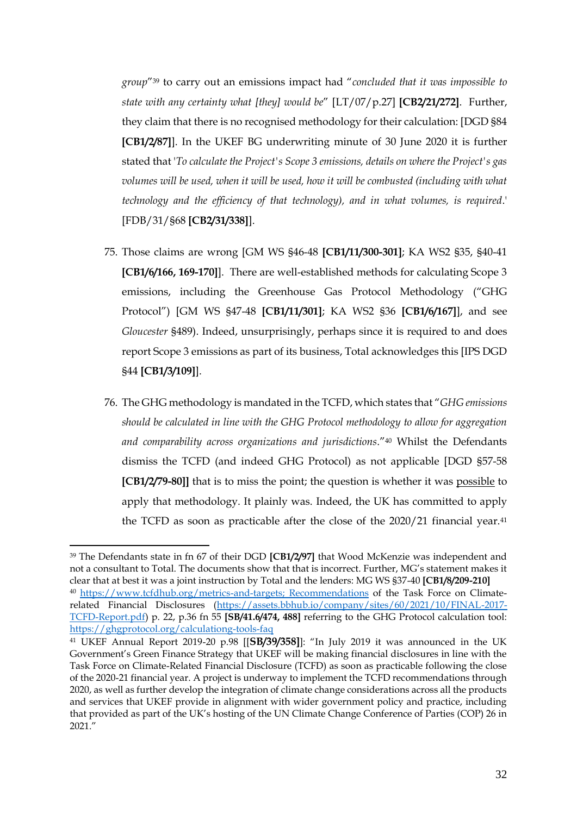*group*"<sup>39</sup> to carry out an emissions impact had "*concluded that it was impossible to state with any certainty what [they] would be*" [LT/07/p.27] **[CB2/21/272]**. Further, they claim that there is no recognised methodology for their calculation: [DGD §84 **[CB1/2/87]**]. In the UKEF BG underwriting minute of 30 June 2020 it is further stated that '*To calculate the Project's Scope 3 emissions, details on where the Project's gas volumes will be used, when it will be used, how it will be combusted (including with what technology and the efficiency of that technology), and in what volumes, is required*.' [FDB/31/§68 **[CB2/31/338]**].

- 75. Those claims are wrong [GM WS §46-48 **[CB1/11/300-301]**; KA WS2 §35, §40-41 **[CB1/6/166, 169-170]**]. There are well-established methods for calculating Scope 3 emissions, including the Greenhouse Gas Protocol Methodology ("GHG Protocol") [GM WS §47-48 **[CB1/11/301]**; KA WS2 §36 **[CB1/6/167]**], and see *Gloucester* §489). Indeed, unsurprisingly, perhaps since it is required to and does report Scope 3 emissions as part of its business, Total acknowledges this [IPS DGD §44 **[CB1/3/109]**].
- 76. The GHG methodology is mandated in the TCFD, which states that "*GHG emissions should be calculated in line with the GHG Protocol methodology to allow for aggregation and comparability across organizations and jurisdictions*."<sup>40</sup> Whilst the Defendants dismiss the TCFD (and indeed GHG Protocol) as not applicable [DGD §57-58 **[CB1/2/79-80]]** that is to miss the point; the question is whether it was possible to apply that methodology. It plainly was. Indeed, the UK has committed to apply the TCFD as soon as practicable after the close of the 2020/21 financial year.<sup>41</sup>

<sup>39</sup> The Defendants state in fn 67 of their DGD **[CB1/2/97]** that Wood McKenzie was independent and not a consultant to Total. The documents show that that is incorrect. Further, MG's statement makes it clear that at best it was a joint instruction by Total and the lenders: MG WS §37-40 **[CB1/8/209-210]** 40 https://www.tcfdhub.org/metrics-and-targets; Recommendations of the Task Force on Climaterelated Financial Disclosures (https://assets.bbhub.io/company/sites/60/2021/10/FINAL-2017- TCFD-Report.pdf) p. 22, p.36 fn 55 **[SB/41.6/474, 488]** referring to the GHG Protocol calculation tool: https://ghgprotocol.org/calculationg-tools-faq

<sup>41</sup> UKEF Annual Report 2019-20 p.98 [[**SB/39/358]**]: "In July 2019 it was announced in the UK Government's Green Finance Strategy that UKEF will be making financial disclosures in line with the Task Force on Climate-Related Financial Disclosure (TCFD) as soon as practicable following the close of the 2020-21 financial year. A project is underway to implement the TCFD recommendations through 2020, as well as further develop the integration of climate change considerations across all the products and services that UKEF provide in alignment with wider government policy and practice, including that provided as part of the UK's hosting of the UN Climate Change Conference of Parties (COP) 26 in 2021."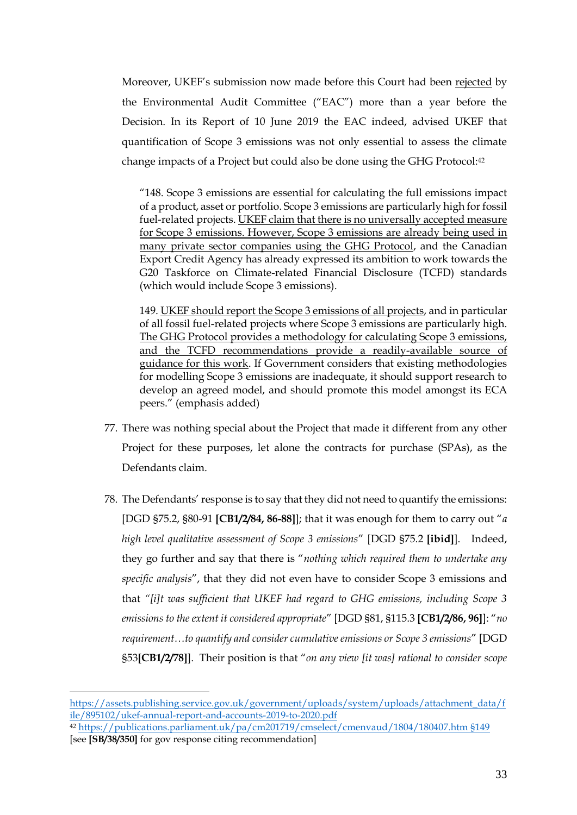Moreover, UKEF's submission now made before this Court had been rejected by the Environmental Audit Committee ("EAC") more than a year before the Decision. In its Report of 10 June 2019 the EAC indeed, advised UKEF that quantification of Scope 3 emissions was not only essential to assess the climate change impacts of a Project but could also be done using the GHG Protocol: 42

"148. Scope 3 emissions are essential for calculating the full emissions impact of a product, asset or portfolio. Scope 3 emissions are particularly high for fossil fuel-related projects. UKEF claim that there is no universally accepted measure for Scope 3 emissions. However, Scope 3 emissions are already being used in many private sector companies using the GHG Protocol, and the Canadian Export Credit Agency has already expressed its ambition to work towards the G20 Taskforce on Climate-related Financial Disclosure (TCFD) standards (which would include Scope 3 emissions).

149. UKEF should report the Scope 3 emissions of all projects, and in particular of all fossil fuel-related projects where Scope 3 emissions are particularly high. The GHG Protocol provides a methodology for calculating Scope 3 emissions, and the TCFD recommendations provide a readily-available source of guidance for this work. If Government considers that existing methodologies for modelling Scope 3 emissions are inadequate, it should support research to develop an agreed model, and should promote this model amongst its ECA peers." (emphasis added)

- 77. There was nothing special about the Project that made it different from any other Project for these purposes, let alone the contracts for purchase (SPAs), as the Defendants claim.
- 78. The Defendants' response is to say that they did not need to quantify the emissions: [DGD §75.2, §80-91 **[CB1/2/84, 86-88]**]; that it was enough for them to carry out "*a high level qualitative assessment of Scope 3 emissions*" [DGD §75.2 **[ibid]**]. Indeed, they go further and say that there is "*nothing which required them to undertake any specific analysis*", that they did not even have to consider Scope 3 emissions and that *"[i]t was sufficient that UKEF had regard to GHG emissions, including Scope 3 emissions to the extent it considered appropriate*" [DGD §81, §115.3 **[CB1/2/86, 96]**]: "*no requirement…to quantify and consider cumulative emissions or Scope 3 emissions*" [DGD §53**[CB1/2/78]**]. Their position is that "*on any view [it was] rational to consider scope*

https://assets.publishing.service.gov.uk/government/uploads/system/uploads/attachment\_data/f ile/895102/ukef-annual-report-and-accounts-2019-to-2020.pdf

<sup>&</sup>lt;sup>42</sup> https://publications.parliament.uk/pa/cm201719/cmselect/cmenvaud/1804/180407.htm §149 [see **[SB/38/350]** for gov response citing recommendation]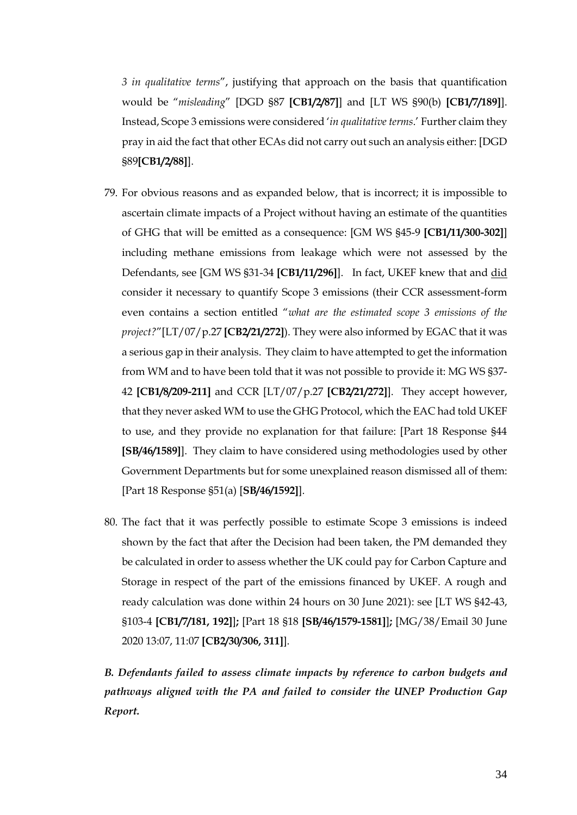*3 in qualitative terms*", justifying that approach on the basis that quantification would be "*misleading*" [DGD §87 **[CB1/2/87]**] and [LT WS §90(b) **[CB1/7/189]**]. Instead, Scope 3 emissions were considered '*in qualitative terms*.' Further claim they pray in aid the fact that other ECAs did not carry out such an analysis either: [DGD §89**[CB1/2/88]**].

- 79. For obvious reasons and as expanded below, that is incorrect; it is impossible to ascertain climate impacts of a Project without having an estimate of the quantities of GHG that will be emitted as a consequence: [GM WS §45-9 **[CB1/11/300-302]**] including methane emissions from leakage which were not assessed by the Defendants, see [GM WS §31-34 **[CB1/11/296]**]. In fact, UKEF knew that and did consider it necessary to quantify Scope 3 emissions (their CCR assessment-form even contains a section entitled "*what are the estimated scope 3 emissions of the project?*"[LT/07/p.27 **[CB2/21/272]**). They were also informed by EGAC that it was a serious gap in their analysis. They claim to have attempted to get the information from WM and to have been told that it was not possible to provide it: MG WS §37- 42 **[CB1/8/209-211]** and CCR [LT/07/p.27 **[CB2/21/272]**]. They accept however, that they never asked WM to use the GHG Protocol, which the EAC had told UKEF to use, and they provide no explanation for that failure: [Part 18 Response §44 **[SB/46/1589]**]. They claim to have considered using methodologies used by other Government Departments but for some unexplained reason dismissed all of them: [Part 18 Response §51(a) [**SB/46/1592]**].
- 80. The fact that it was perfectly possible to estimate Scope 3 emissions is indeed shown by the fact that after the Decision had been taken, the PM demanded they be calculated in order to assess whether the UK could pay for Carbon Capture and Storage in respect of the part of the emissions financed by UKEF. A rough and ready calculation was done within 24 hours on 30 June 2021): see [LT WS §42-43, §103-4 **[CB1/7/181, 192]**]**;** [Part 18 §18 **[SB/46/1579-1581]**]**;** [MG/38/Email 30 June 2020 13:07, 11:07 **[CB2/30/306, 311]**].

*B. Defendants failed to assess climate impacts by reference to carbon budgets and pathways aligned with the PA and failed to consider the UNEP Production Gap Report.*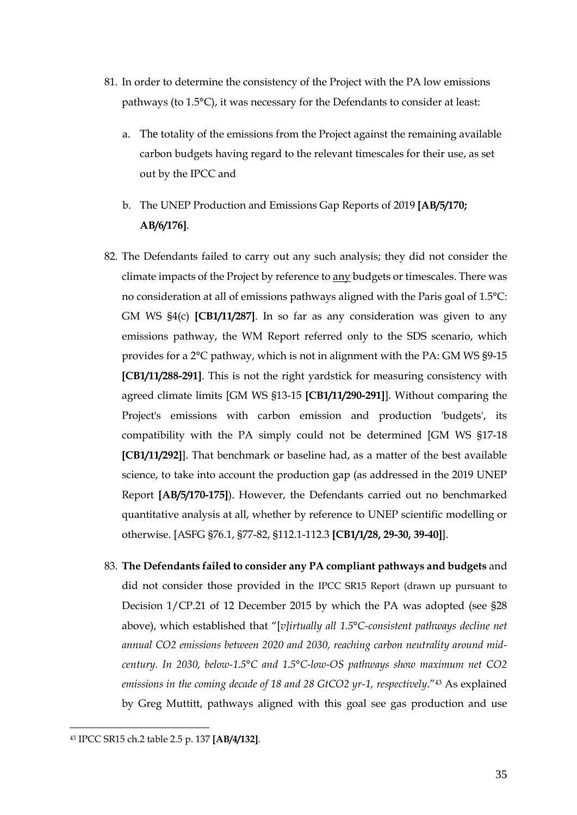- 81. In order to determine the consistency of the Project with the PA low emissions pathways (to 1.5°C), it was necessary for the Defendants to consider at least:
	- a. The totality of the emissions from the Project against the remaining available carbon budgets having regard to the relevant timescales for their use, as set out by the IPCC and
	- b. The UNEP Production and Emissions Gap Reports of 2019 **[AB/5/170; AB/6/176]**.
- 82. The Defendants failed to carry out any such analysis; they did not consider the climate impacts of the Project by reference to any budgets or timescales. There was no consideration at all of emissions pathways aligned with the Paris goal of 1.5°C: GM WS §4(c) **[CB1/11/287]**. In so far as any consideration was given to any emissions pathway, the WM Report referred only to the SDS scenario, which provides for a 2°C pathway, which is not in alignment with the PA: GM WS §9-15 **[CB1/11/288-291]**. This is not the right yardstick for measuring consistency with agreed climate limits [GM WS §13-15 **[CB1/11/290-291]**]. Without comparing the Project's emissions with carbon emission and production 'budgets', its compatibility with the PA simply could not be determined [GM WS §17-18 **[CB1/11/292]**]. That benchmark or baseline had, as a matter of the best available science, to take into account the production gap (as addressed in the 2019 UNEP Report **[AB/5/170-175]**). However, the Defendants carried out no benchmarked quantitative analysis at all, whether by reference to UNEP scientific modelling or otherwise. [ASFG §76.1, §77-82, §112.1-112.3 **[CB1/1/28, 29-30, 39-40]**].
- 83. **The Defendants failed to consider any PA compliant pathways and budgets** and did not consider those provided in the IPCC SR15 Report (drawn up pursuant to Decision 1/CP.21 of 12 December 2015 by which the PA was adopted (see [§28](#page-9-0) above), which established that "[*v]irtually all 1.5°C-consistent pathways decline net annual CO2 emissions between 2020 and 2030, reaching carbon neutrality around midcentury. In 2030, below-1.5°C and 1.5°C-low-OS pathways show maximum net CO2 emissions in the coming decade of 18 and 28 GtCO2 yr-1, respectively*."<sup>43</sup> As explained by Greg Muttitt, pathways aligned with this goal see gas production and use

<sup>43</sup> IPCC SR15 ch.2 table 2.5 p. 137 **[AB/4/132]**.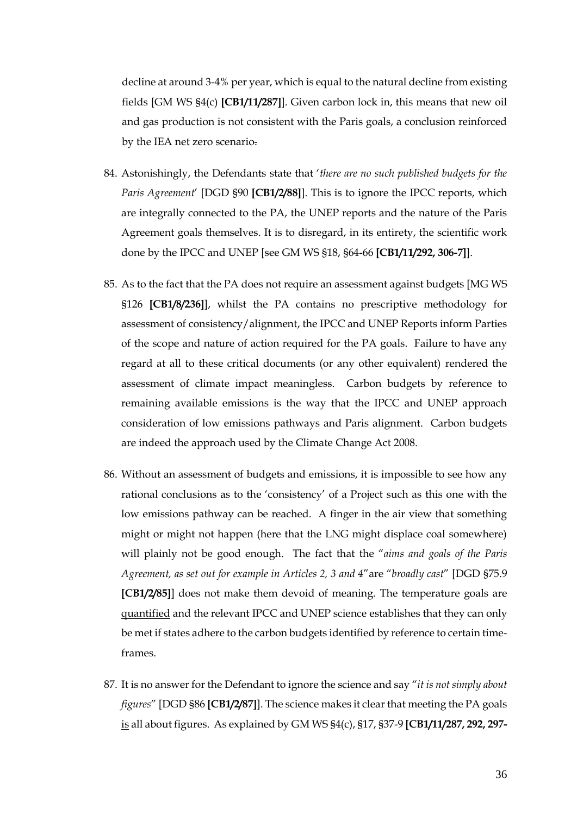decline at around 3-4% per year, which is equal to the natural decline from existing fields [GM WS §4(c) **[CB1/11/287]**]. Given carbon lock in, this means that new oil and gas production is not consistent with the Paris goals, a conclusion reinforced by the IEA net zero scenario.

- 84. Astonishingly, the Defendants state that '*there are no such published budgets for the Paris Agreement*' [DGD §90 **[CB1/2/88]**]. This is to ignore the IPCC reports, which are integrally connected to the PA, the UNEP reports and the nature of the Paris Agreement goals themselves. It is to disregard, in its entirety, the scientific work done by the IPCC and UNEP [see GM WS §18, §64-66 **[CB1/11/292, 306-7]**].
- 85. As to the fact that the PA does not require an assessment against budgets [MG WS §126 **[CB1/8/236]**], whilst the PA contains no prescriptive methodology for assessment of consistency/alignment, the IPCC and UNEP Reports inform Parties of the scope and nature of action required for the PA goals. Failure to have any regard at all to these critical documents (or any other equivalent) rendered the assessment of climate impact meaningless. Carbon budgets by reference to remaining available emissions is the way that the IPCC and UNEP approach consideration of low emissions pathways and Paris alignment. Carbon budgets are indeed the approach used by the Climate Change Act 2008.
- 86. Without an assessment of budgets and emissions, it is impossible to see how any rational conclusions as to the 'consistency' of a Project such as this one with the low emissions pathway can be reached. A finger in the air view that something might or might not happen (here that the LNG might displace coal somewhere) will plainly not be good enough. The fact that the "*aims and goals of the Paris Agreement, as set out for example in Articles 2, 3 and 4*"are "*broadly cast*" [DGD §75.9 **[CB1/2/85]**] does not make them devoid of meaning. The temperature goals are quantified and the relevant IPCC and UNEP science establishes that they can only be met if states adhere to the carbon budgets identified by reference to certain timeframes.
- 87. It is no answer for the Defendant to ignore the science and say "*it is not simply about figures*" [DGD §86 **[CB1/2/87]**]. The science makes it clear that meeting the PA goals is all about figures. As explained by GM WS §4(c), §17, §37-9 **[CB1/11/287, 292, 297-**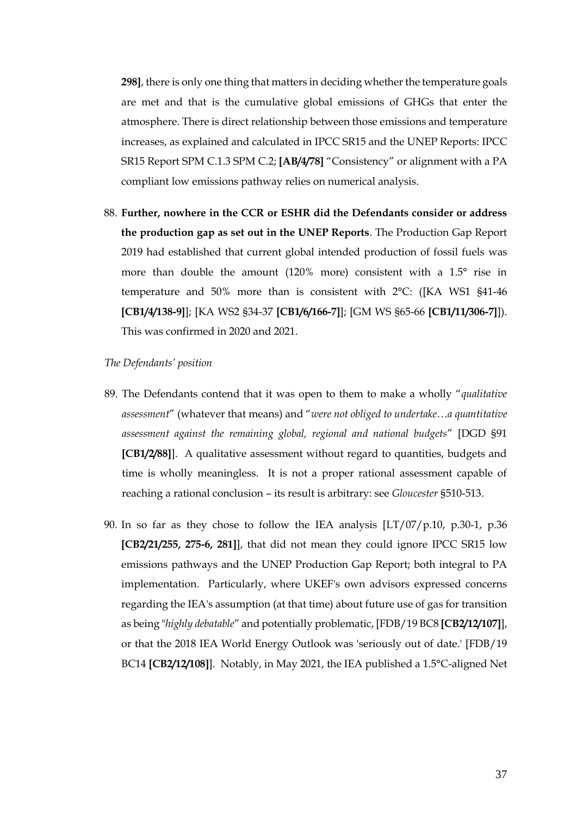**298]**, there is only one thing that matters in deciding whether the temperature goals are met and that is the cumulative global emissions of GHGs that enter the atmosphere. There is direct relationship between those emissions and temperature increases, as explained and calculated in IPCC SR15 and the UNEP Reports: IPCC SR15 Report SPM C.1.3 SPM C.2; **[AB/4/78]** "Consistency" or alignment with a PA compliant low emissions pathway relies on numerical analysis.

88. **Further, nowhere in the CCR or ESHR did the Defendants consider or address the production gap as set out in the UNEP Reports**. The Production Gap Report 2019 had established that current global intended production of fossil fuels was more than double the amount (120% more) consistent with a 1.5° rise in temperature and 50% more than is consistent with 2°C: ([KA WS1 §41-46 **[CB1/4/138-9]**]; [KA WS2 §34-37 **[CB1/6/166-7]**]; [GM WS §65-66 **[CB1/11/306-7]**]). This was confirmed in 2020 and 2021.

*The Defendants' position*

- 89. The Defendants contend that it was open to them to make a wholly "*qualitative assessment*" (whatever that means) and "*were not obliged to undertake…a quantitative assessment against the remaining global, regional and national budgets*" [DGD §91 **[CB1/2/88]**]. A qualitative assessment without regard to quantities, budgets and time is wholly meaningless. It is not a proper rational assessment capable of reaching a rational conclusion – its result is arbitrary: see *Gloucester* §510-513.
- 90. In so far as they chose to follow the IEA analysis [LT/07/p.10, p.30-1, p.36 **[CB2/21/255, 275-6, 281]**], that did not mean they could ignore IPCC SR15 low emissions pathways and the UNEP Production Gap Report; both integral to PA implementation. Particularly, where UKEF's own advisors expressed concerns regarding the IEA's assumption (at that time) about future use of gas for transition as being "*highly debatable*" and potentially problematic, [FDB/19 BC8 **[CB2/12/107]**], or that the 2018 IEA World Energy Outlook was 'seriously out of date.' [FDB/19 BC14 **[CB2/12/108]**]. Notably, in May 2021, the IEA published a 1.5°C-aligned Net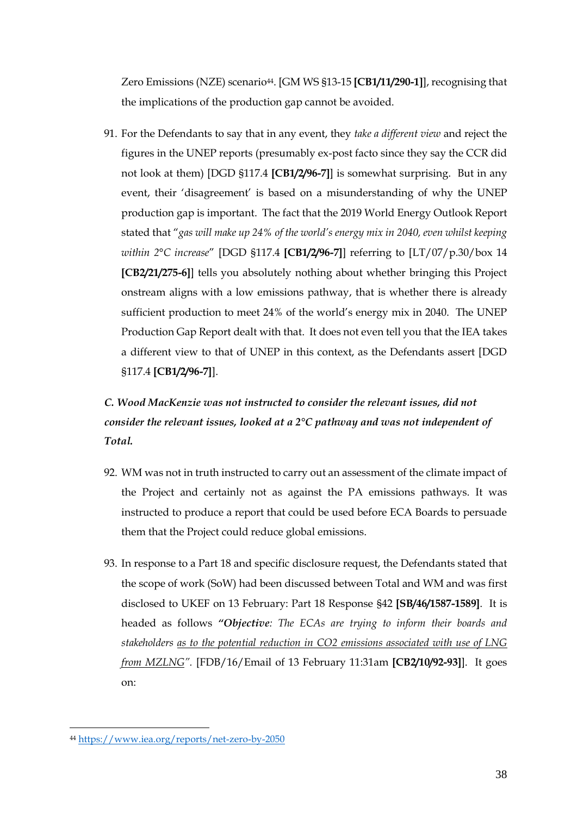Zero Emissions (NZE) scenario44. [GM WS §13-15 **[CB1/11/290-1]**], recognising that the implications of the production gap cannot be avoided.

91. For the Defendants to say that in any event, they *take a different view* and reject the figures in the UNEP reports (presumably ex-post facto since they say the CCR did not look at them) [DGD §117.4 **[CB1/2/96-7]**] is somewhat surprising. But in any event, their 'disagreement' is based on a misunderstanding of why the UNEP production gap is important. The fact that the 2019 World Energy Outlook Report stated that "*gas will make up 24% of the world's energy mix in 2040, even whilst keeping within 2°C increase*" [DGD §117.4 **[CB1/2/96-7]**] referring to [LT/07/p.30/box 14 **[CB2/21/275-6]**] tells you absolutely nothing about whether bringing this Project onstream aligns with a low emissions pathway, that is whether there is already sufficient production to meet 24% of the world's energy mix in 2040. The UNEP Production Gap Report dealt with that. It does not even tell you that the IEA takes a different view to that of UNEP in this context, as the Defendants assert [DGD §117.4 **[CB1/2/96-7]**].

# *C. Wood MacKenzie was not instructed to consider the relevant issues, did not consider the relevant issues, looked at a 2°C pathway and was not independent of Total.*

- 92. WM was not in truth instructed to carry out an assessment of the climate impact of the Project and certainly not as against the PA emissions pathways. It was instructed to produce a report that could be used before ECA Boards to persuade them that the Project could reduce global emissions.
- 93. In response to a Part 18 and specific disclosure request, the Defendants stated that the scope of work (SoW) had been discussed between Total and WM and was first disclosed to UKEF on 13 February: Part 18 Response §42 **[SB/46/1587-1589]**. It is headed as follows *"Objective: The ECAs are trying to inform their boards and stakeholders as to the potential reduction in CO2 emissions associated with use of LNG from MZLNG".* [FDB/16/Email of 13 February 11:31am **[CB2/10/92-93]**]. It goes on:

<sup>44</sup> https://www.iea.org/reports/net-zero-by-2050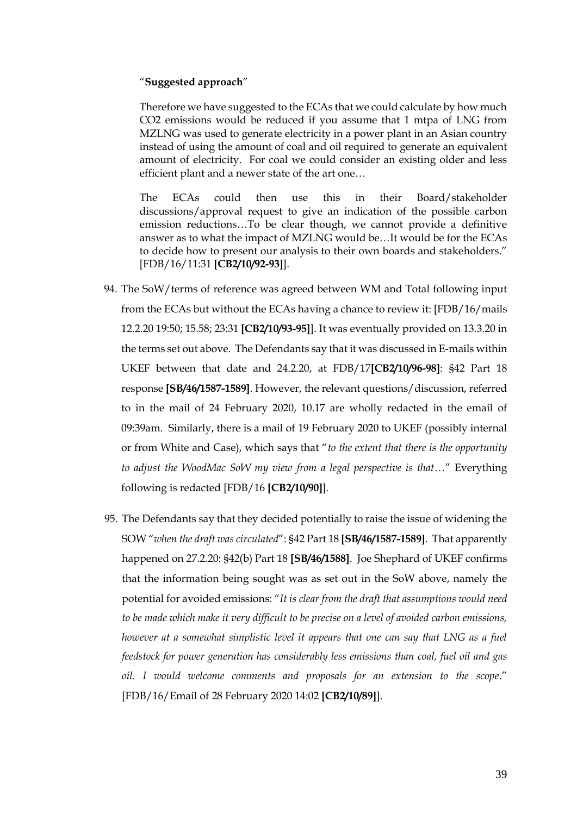#### "**Suggested approach**"

Therefore we have suggested to the ECAs that we could calculate by how much CO2 emissions would be reduced if you assume that 1 mtpa of LNG from MZLNG was used to generate electricity in a power plant in an Asian country instead of using the amount of coal and oil required to generate an equivalent amount of electricity. For coal we could consider an existing older and less efficient plant and a newer state of the art one…

The ECAs could then use this in their Board/stakeholder discussions/approval request to give an indication of the possible carbon emission reductions…To be clear though, we cannot provide a definitive answer as to what the impact of MZLNG would be…It would be for the ECAs to decide how to present our analysis to their own boards and stakeholders." [FDB/16/11:31 **[CB2/10/92-93]**].

- 94. The SoW/terms of reference was agreed between WM and Total following input from the ECAs but without the ECAs having a chance to review it: [FDB/16/mails 12.2.20 19:50; 15.58; 23:31 **[CB2/10/93-95]**]. It was eventually provided on 13.3.20 in the terms set out above. The Defendants say that it was discussed in E-mails within UKEF between that date and 24.2.20, at FDB/17**[CB2/10/96-98]**: §42 Part 18 response **[SB/46/1587-1589]**. However, the relevant questions/discussion, referred to in the mail of 24 February 2020, 10.17 are wholly redacted in the email of 09:39am. Similarly, there is a mail of 19 February 2020 to UKEF (possibly internal or from White and Case), which says that "*to the extent that there is the opportunity to adjust the WoodMac SoW my view from a legal perspective is that*…" Everything following is redacted [FDB/16 **[CB2/10/90]**].
- 95. The Defendants say that they decided potentially to raise the issue of widening the SOW "*when the draft was circulated*": §42 Part 18 **[SB/46/1587-1589]**. That apparently happened on 27.2.20: §42(b) Part 18 **[SB/46/1588]**. Joe Shephard of UKEF confirms that the information being sought was as set out in the SoW above, namely the potential for avoided emissions: "*It is clear from the draft that assumptions would need to be made which make it very difficult to be precise on a level of avoided carbon emissions, however at a somewhat simplistic level it appears that one can say that LNG as a fuel feedstock for power generation has considerably less emissions than coal, fuel oil and gas oil. I would welcome comments and proposals for an extension to the scope*." [FDB/16/Email of 28 February 2020 14:02 **[CB2/10/89]**].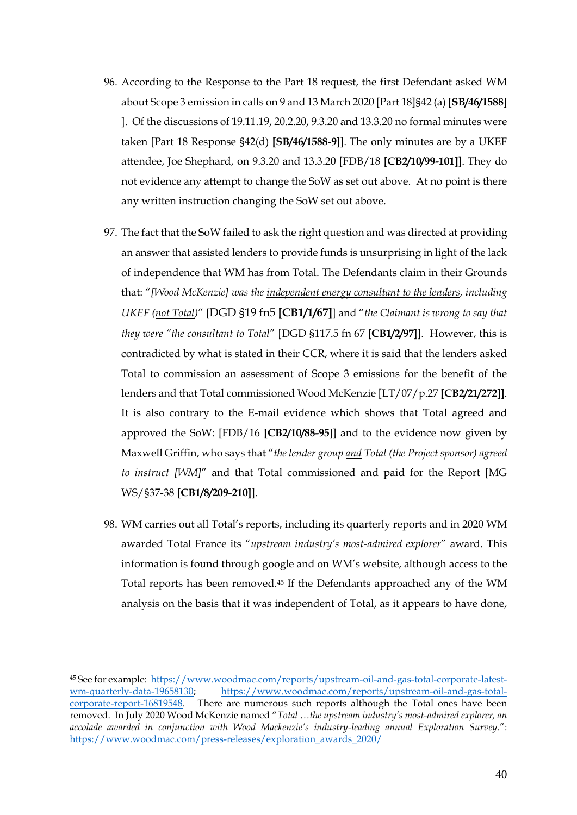- 96. According to the Response to the Part 18 request, the first Defendant asked WM about Scope 3 emission in calls on 9 and 13 March 2020 [Part 18]§42 (a) **[SB/46/1588]** ]. Of the discussions of 19.11.19, 20.2.20, 9.3.20 and 13.3.20 no formal minutes were taken [Part 18 Response §42(d) **[SB/46/1588-9]**]. The only minutes are by a UKEF attendee, Joe Shephard, on 9.3.20 and 13.3.20 [FDB/18 **[CB2/10/99-101]**]. They do not evidence any attempt to change the SoW as set out above. At no point is there any written instruction changing the SoW set out above.
- 97. The fact that the SoW failed to ask the right question and was directed at providing an answer that assisted lenders to provide funds is unsurprising in light of the lack of independence that WM has from Total. The Defendants claim in their Grounds that: "*[Wood McKenzie] was the independent energy consultant to the lenders, including UKEF (not Total)*" [DGD §19 fn5 **[CB1/1/67]**] and "*the Claimant is wrong to say that they were "the consultant to Total*" [DGD §117.5 fn 67 **[CB1/2/97]**]. However, this is contradicted by what is stated in their CCR, where it is said that the lenders asked Total to commission an assessment of Scope 3 emissions for the benefit of the lenders and that Total commissioned Wood McKenzie [LT/07/p.27 **[CB2/21/272]]**. It is also contrary to the E-mail evidence which shows that Total agreed and approved the SoW: [FDB/16 **[CB2/10/88-95]**] and to the evidence now given by Maxwell Griffin, who says that "*the lender group and Total (the Project sponsor) agreed to instruct [WM]*" and that Total commissioned and paid for the Report [MG WS/§37-38 **[CB1/8/209-210]**].
- 98. WM carries out all Total's reports, including its quarterly reports and in 2020 WM awarded Total France its "*upstream industry's most-admired explorer*" award. This information is found through google and on WM's website, although access to the Total reports has been removed.<sup>45</sup> If the Defendants approached any of the WM analysis on the basis that it was independent of Total, as it appears to have done,

<sup>45</sup> See for example: https://www.woodmac.com/reports/upstream-oil-and-gas-total-corporate-latestwm-quarterly-data-19658130; https://www.woodmac.com/reports/upstream-oil-and-gas-totalcorporate-report-16819548. There are numerous such reports although the Total ones have been removed. In July 2020 Wood McKenzie named "*Total …the upstream industry's most-admired explorer, an accolade awarded in conjunction with Wood Mackenzie's industry-leading annual Exploration Survey*.": https://www.woodmac.com/press-releases/exploration\_awards\_2020/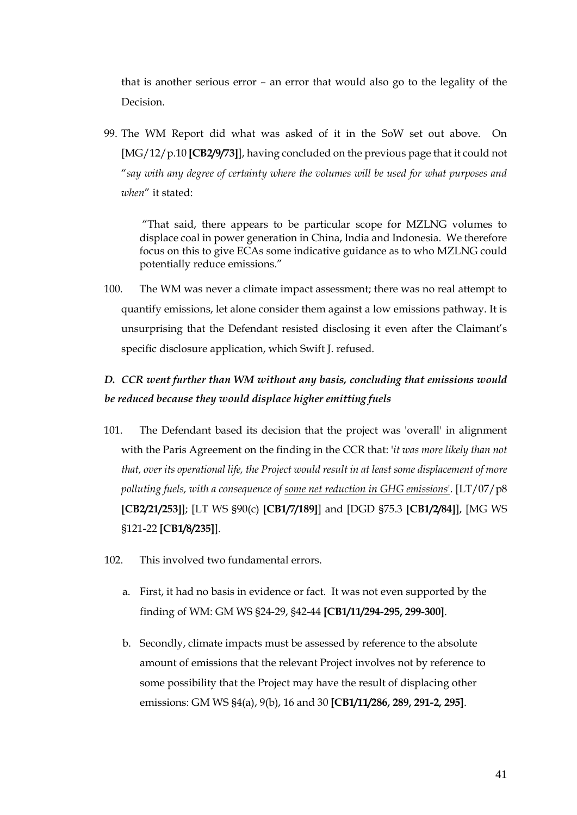that is another serious error – an error that would also go to the legality of the Decision.

99. The WM Report did what was asked of it in the SoW set out above. On [MG/12/p.10 **[CB2/9/73]**], having concluded on the previous page that it could not "*say with any degree of certainty where the volumes will be used for what purposes and when*" it stated:

"That said, there appears to be particular scope for MZLNG volumes to displace coal in power generation in China, India and Indonesia. We therefore focus on this to give ECAs some indicative guidance as to who MZLNG could potentially reduce emissions."

100. The WM was never a climate impact assessment; there was no real attempt to quantify emissions, let alone consider them against a low emissions pathway. It is unsurprising that the Defendant resisted disclosing it even after the Claimant's specific disclosure application, which Swift J. refused.

# *D. CCR went further than WM without any basis, concluding that emissions would be reduced because they would displace higher emitting fuels*

- 101. The Defendant based its decision that the project was 'overall' in alignment with the Paris Agreement on the finding in the CCR that: '*it was more likely than not that, over its operational life, the Project would result in at least some displacement of more polluting fuels, with a consequence of some net reduction in GHG emissions*'. [LT/07/p8 **[CB2/21/253]**]; [LT WS §90(c) **[CB1/7/189]**] and [DGD §75.3 **[CB1/2/84]**], [MG WS §121-22 **[CB1/8/235]**].
- 102. This involved two fundamental errors.
	- a. First, it had no basis in evidence or fact. It was not even supported by the finding of WM: GM WS §24-29, §42-44 **[CB1/11/294-295, 299-300]**.
	- b. Secondly, climate impacts must be assessed by reference to the absolute amount of emissions that the relevant Project involves not by reference to some possibility that the Project may have the result of displacing other emissions: GM WS §4(a), 9(b), 16 and 30 **[CB1/11/286, 289, 291-2, 295]**.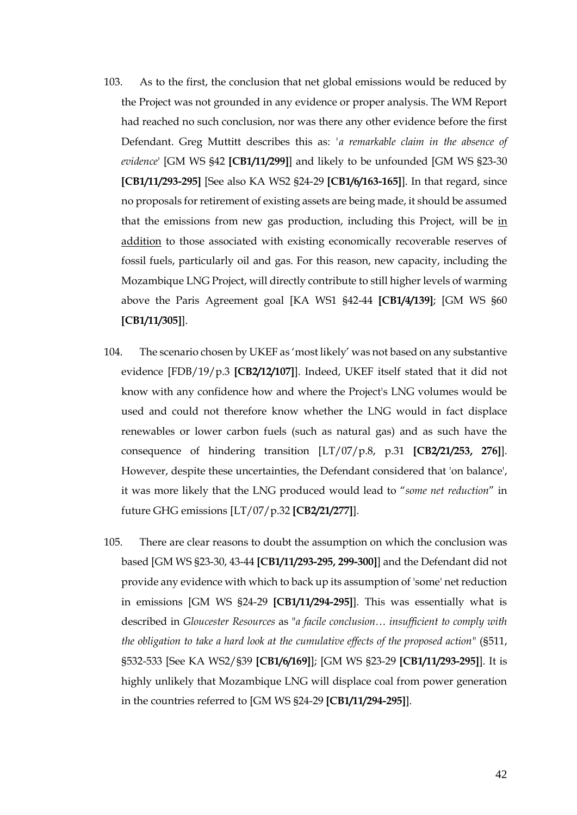- 103. As to the first, the conclusion that net global emissions would be reduced by the Project was not grounded in any evidence or proper analysis. The WM Report had reached no such conclusion, nor was there any other evidence before the first Defendant. Greg Muttitt describes this as: *'a remarkable claim in the absence of evidence*' [GM WS §42 **[CB1/11/299]**] and likely to be unfounded [GM WS §23-30 **[CB1/11/293-295]** [See also KA WS2 §24-29 **[CB1/6/163-165]**]. In that regard, since no proposals for retirement of existing assets are being made, it should be assumed that the emissions from new gas production, including this Project, will be in addition to those associated with existing economically recoverable reserves of fossil fuels, particularly oil and gas. For this reason, new capacity, including the Mozambique LNG Project, will directly contribute to still higher levels of warming above the Paris Agreement goal [KA WS1 §42-44 **[CB1/4/139]**; [GM WS §60 **[CB1/11/305]**].
- 104. The scenario chosen by UKEF as 'most likely' was not based on any substantive evidence [FDB/19/p.3 **[CB2/12/107]**]. Indeed, UKEF itself stated that it did not know with any confidence how and where the Project's LNG volumes would be used and could not therefore know whether the LNG would in fact displace renewables or lower carbon fuels (such as natural gas) and as such have the consequence of hindering transition [LT/07/p.8, p.31 **[CB2/21/253, 276]**]. However, despite these uncertainties, the Defendant considered that 'on balance', it was more likely that the LNG produced would lead to "*some net reduction*" in future GHG emissions [LT/07/p.32 **[CB2/21/277]**].
- 105. There are clear reasons to doubt the assumption on which the conclusion was based [GM WS §23-30, 43-44 **[CB1/11/293-295, 299-300]**] and the Defendant did not provide any evidence with which to back up its assumption of 'some' net reduction in emissions [GM WS §24-29 **[CB1/11/294-295]**]. This was essentially what is described in *Gloucester Resources* as "*a facile conclusion… insufficient to comply with the obligation to take a hard look at the cumulative effects of the proposed action*" (§511, §532-533 [See KA WS2/§39 **[CB1/6/169]**]; [GM WS §23-29 **[CB1/11/293-295]**]. It is highly unlikely that Mozambique LNG will displace coal from power generation in the countries referred to [GM WS §24-29 **[CB1/11/294-295]**].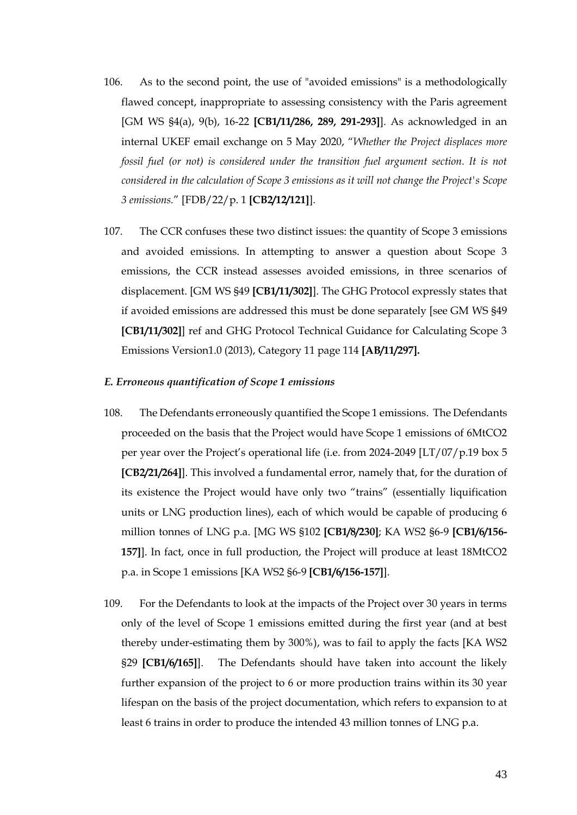- 106. As to the second point, the use of "avoided emissions" is a methodologically flawed concept, inappropriate to assessing consistency with the Paris agreement [GM WS §4(a), 9(b), 16-22 **[CB1/11/286, 289, 291-293]**]. As acknowledged in an internal UKEF email exchange on 5 May 2020, "*Whether the Project displaces more fossil fuel (or not) is considered under the transition fuel argument section. It is not considered in the calculation of Scope 3 emissions as it will not change the Project's Scope 3 emissions.*" [FDB/22/p. 1 **[CB2/12/121]**].
- 107. The CCR confuses these two distinct issues: the quantity of Scope 3 emissions and avoided emissions. In attempting to answer a question about Scope 3 emissions, the CCR instead assesses avoided emissions, in three scenarios of displacement. [GM WS §49 **[CB1/11/302]**]. The GHG Protocol expressly states that if avoided emissions are addressed this must be done separately [see GM WS §49 **[CB1/11/302]**] ref and GHG Protocol Technical Guidance for Calculating Scope 3 Emissions Version1.0 (2013), Category 11 page 114 **[AB/11/297].**

#### *E. Erroneous quantification of Scope 1 emissions*

- 108. The Defendants erroneously quantified the Scope 1 emissions. The Defendants proceeded on the basis that the Project would have Scope 1 emissions of 6MtCO2 per year over the Project's operational life (i.e. from 2024-2049 [LT/07/p.19 box 5 **[CB2/21/264]**]. This involved a fundamental error, namely that, for the duration of its existence the Project would have only two "trains" (essentially liquification units or LNG production lines), each of which would be capable of producing 6 million tonnes of LNG p.a. [MG WS §102 **[CB1/8/230]**; KA WS2 §6-9 **[CB1/6/156- 157]**]. In fact, once in full production, the Project will produce at least 18MtCO2 p.a. in Scope 1 emissions [KA WS2 §6-9 **[CB1/6/156-157]**].
- 109. For the Defendants to look at the impacts of the Project over 30 years in terms only of the level of Scope 1 emissions emitted during the first year (and at best thereby under-estimating them by 300%), was to fail to apply the facts [KA WS2 §29 **[CB1/6/165]**]. The Defendants should have taken into account the likely further expansion of the project to 6 or more production trains within its 30 year lifespan on the basis of the project documentation, which refers to expansion to at least 6 trains in order to produce the intended 43 million tonnes of LNG p.a.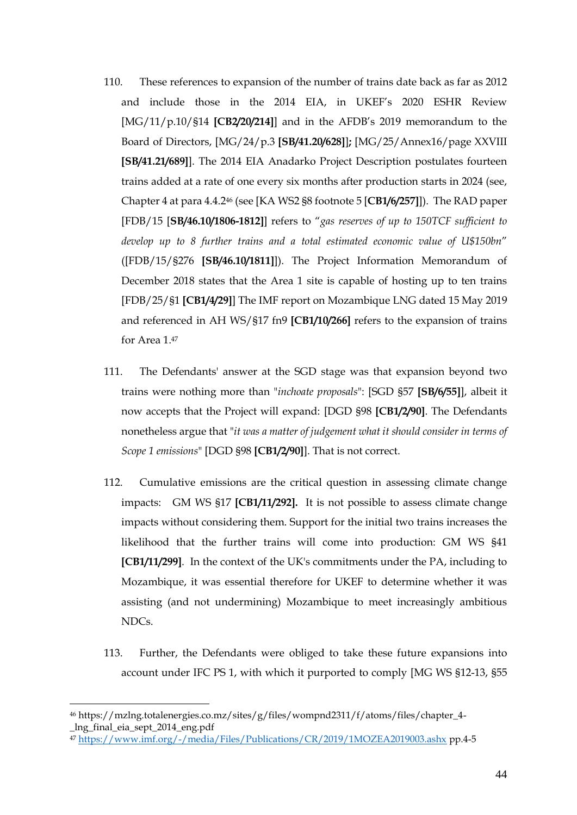- 110. These references to expansion of the number of trains date back as far as 2012 and include those in the 2014 EIA, in UKEF's 2020 ESHR Review [MG/11/p.10/§14 **[CB2/20/214]**] and in the AFDB's 2019 memorandum to the Board of Directors, [MG/24/p.3 **[SB/41.20/628]**]**;** [MG/25/Annex16/page XXVIII **[SB/41.21/689]**]. The 2014 EIA Anadarko Project Description postulates fourteen trains added at a rate of one every six months after production starts in 2024 (see, Chapter 4 at para 4.4.2<sup>46</sup> (see [KA WS2 §8 footnote 5 [**CB1/6/257]**]). The RAD paper [FDB/15 [**SB/46.10/1806-1812]**] refers to "*gas reserves of up to 150TCF sufficient to develop up to 8 further trains and a total estimated economic value of U\$150bn*" ([FDB/15/§276 **[SB/46.10/1811]**]). The Project Information Memorandum of December 2018 states that the Area 1 site is capable of hosting up to ten trains [FDB/25/§1 **[CB1/4/29]**] The IMF report on Mozambique LNG dated 15 May 2019 and referenced in AH WS/§17 fn9 **[CB1/10/266]** refers to the expansion of trains for Area 1. 47
- 111. The Defendants' answer at the SGD stage was that expansion beyond two trains were nothing more than "*inchoate proposals*": [SGD §57 **[SB/6/55]**], albeit it now accepts that the Project will expand: [DGD §98 **[CB1/2/90]**. The Defendants nonetheless argue that "*it was a matter of judgement what it should consider in terms of Scope 1 emissions*" [DGD §98 **[CB1/2/90]**]. That is not correct.
- 112. Cumulative emissions are the critical question in assessing climate change impacts: GM WS §17 **[CB1/11/292].** It is not possible to assess climate change impacts without considering them. Support for the initial two trains increases the likelihood that the further trains will come into production: GM WS §41 **[CB1/11/299]**. In the context of the UK's commitments under the PA, including to Mozambique, it was essential therefore for UKEF to determine whether it was assisting (and not undermining) Mozambique to meet increasingly ambitious NDCs.
- 113. Further, the Defendants were obliged to take these future expansions into account under IFC PS 1, with which it purported to comply [MG WS §12-13, §55

<sup>46</sup> https://mzlng.totalenergies.co.mz/sites/g/files/wompnd2311/f/atoms/files/chapter\_4- \_lng\_final\_eia\_sept\_2014\_eng.pdf

<sup>47</sup> https://www.imf.org/-/media/Files/Publications/CR/2019/1MOZEA2019003.ashx pp.4-5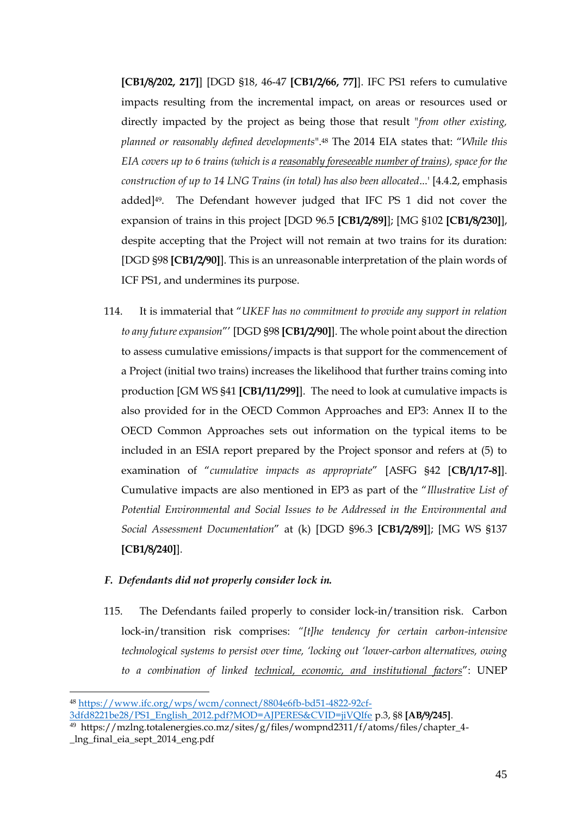**[CB1/8/202, 217]**] [DGD §18, 46-47 **[CB1/2/66, 77]**]. IFC PS1 refers to cumulative impacts resulting from the incremental impact, on areas or resources used or directly impacted by the project as being those that result "*from other existing, planned or reasonably defined developments*". <sup>48</sup> The 2014 EIA states that: "*While this EIA covers up to 6 trains (which is a reasonably foreseeable number of trains), space for the construction of up to 14 LNG Trains (in total) has also been allocated*...' [4.4.2, emphasis added]49. The Defendant however judged that IFC PS 1 did not cover the expansion of trains in this project [DGD 96.5 **[CB1/2/89]**]; [MG §102 **[CB1/8/230]**], despite accepting that the Project will not remain at two trains for its duration: [DGD §98 **[CB1/2/90]**]. This is an unreasonable interpretation of the plain words of ICF PS1, and undermines its purpose.

114. It is immaterial that "*UKEF has no commitment to provide any support in relation to any future expansion*"' [DGD §98 **[CB1/2/90]**]. The whole point about the direction to assess cumulative emissions/impacts is that support for the commencement of a Project (initial two trains) increases the likelihood that further trains coming into production [GM WS §41 **[CB1/11/299]**]. The need to look at cumulative impacts is also provided for in the OECD Common Approaches and EP3: Annex II to the OECD Common Approaches sets out information on the typical items to be included in an ESIA report prepared by the Project sponsor and refers at (5) to examination of "*cumulative impacts as appropriate*" [ASFG §42 [**CB/1/17-8]**]. Cumulative impacts are also mentioned in EP3 as part of the "*Illustrative List of Potential Environmental and Social Issues to be Addressed in the Environmental and Social Assessment Documentation*" at (k) [DGD §96.3 **[CB1/2/89]**]; [MG WS §137 **[CB1/8/240]**].

### *F. Defendants did not properly consider lock in.*

115. The Defendants failed properly to consider lock-in/transition risk. Carbon lock-in/transition risk comprises: *"[t]he tendency for certain carbon-intensive technological systems to persist over time, 'locking out 'lower-carbon alternatives, owing to a combination of linked technical, economic, and institutional factors*": UNEP

<sup>48</sup> https://www.ifc.org/wps/wcm/connect/8804e6fb-bd51-4822-92cf-

<sup>3</sup>dfd8221be28/PS1\_English\_2012.pdf?MOD=AJPERES&CVID=jiVQIfe p.3, §8 **[AB/9/245]**.

<sup>&</sup>lt;sup>49</sup> https://mzlng.totalenergies.co.mz/sites/g/files/wompnd2311/f/atoms/files/chapter\_4-\_lng\_final\_eia\_sept\_2014\_eng.pdf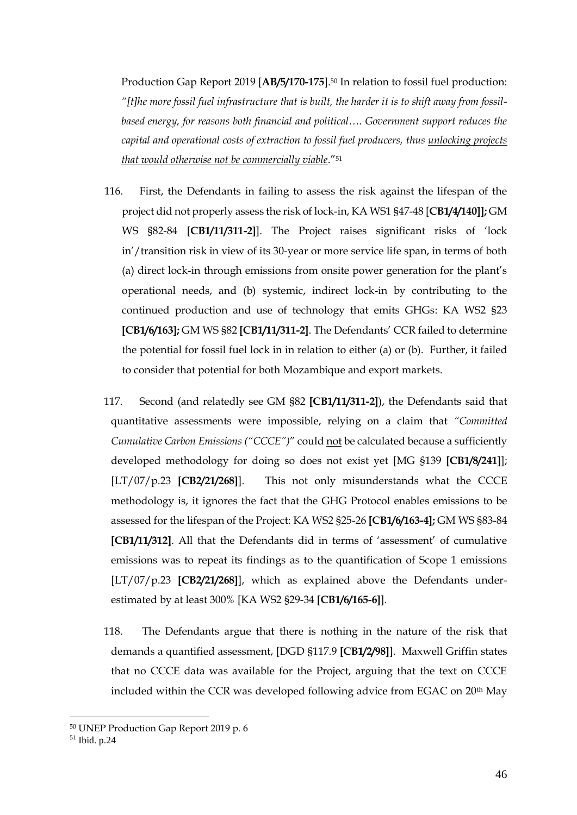Production Gap Report 2019 [**AB/5/170-175**]. <sup>50</sup> In relation to fossil fuel production: *"[t]he more fossil fuel infrastructure that is built, the harder it is to shift away from fossilbased energy, for reasons both financial and political…. Government support reduces the capital and operational costs of extraction to fossil fuel producers, thus unlocking projects that would otherwise not be commercially viable*."<sup>51</sup>

- 116. First, the Defendants in failing to assess the risk against the lifespan of the project did not properly assess the risk of lock-in, KA WS1 §47-48 [**CB1/4/140]];** GM WS §82-84 [**CB1/11/311-2]**]. The Project raises significant risks of 'lock in'/transition risk in view of its 30-year or more service life span, in terms of both (a) direct lock-in through emissions from onsite power generation for the plant's operational needs, and (b) systemic, indirect lock-in by contributing to the continued production and use of technology that emits GHGs: KA WS2 §23 **[CB1/6/163];** GM WS §82 **[CB1/11/311-2]**. The Defendants' CCR failed to determine the potential for fossil fuel lock in in relation to either (a) or (b). Further, it failed to consider that potential for both Mozambique and export markets.
- 117. Second (and relatedly see GM §82 **[CB1/11/311-2]**), the Defendants said that quantitative assessments were impossible, relying on a claim that *"Committed Cumulative Carbon Emissions ("CCCE")*" could not be calculated because a sufficiently developed methodology for doing so does not exist yet [MG §139 **[CB1/8/241]**]; [LT/07/p.23 **[CB2/21/268]**]. This not only misunderstands what the CCCE methodology is, it ignores the fact that the GHG Protocol enables emissions to be assessed for the lifespan of the Project: KA WS2 §25-26 **[CB1/6/163-4];** GM WS §83-84 **[CB1/11/312]**. All that the Defendants did in terms of 'assessment' of cumulative emissions was to repeat its findings as to the quantification of Scope 1 emissions [LT/07/p.23 **[CB2/21/268]**], which as explained above the Defendants underestimated by at least 300% [KA WS2 §29-34 **[CB1/6/165-6]**].
- 118. The Defendants argue that there is nothing in the nature of the risk that demands a quantified assessment, [DGD §117.9 **[CB1/2/98]**]. Maxwell Griffin states that no CCCE data was available for the Project, arguing that the text on CCCE included within the CCR was developed following advice from EGAC on 20<sup>th</sup> May

<sup>50</sup> UNEP Production Gap Report 2019 p. 6

<sup>51</sup> Ibid. p.24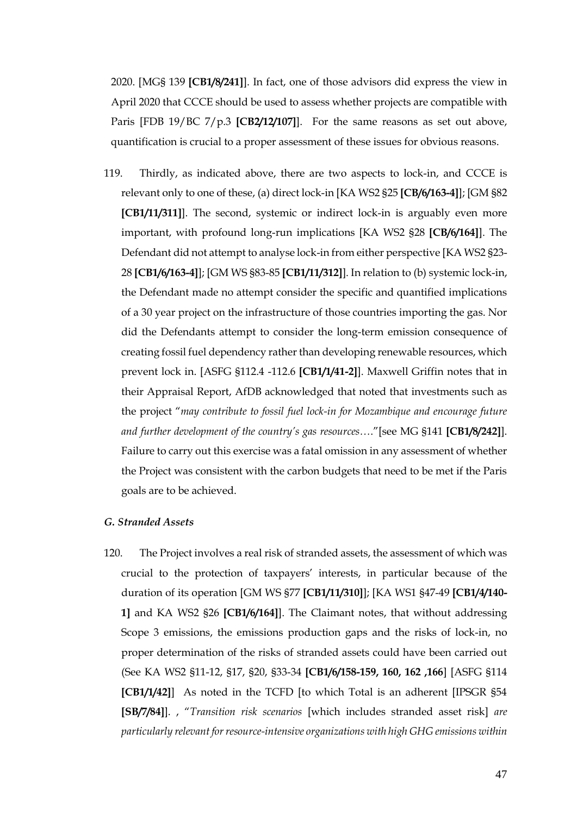2020. [MG§ 139 **[CB1/8/241]**]. In fact, one of those advisors did express the view in April 2020 that CCCE should be used to assess whether projects are compatible with Paris [FDB 19/BC 7/p.3 **[CB2/12/107]**]. For the same reasons as set out above, quantification is crucial to a proper assessment of these issues for obvious reasons.

119. Thirdly, as indicated above, there are two aspects to lock-in, and CCCE is relevant only to one of these, (a) direct lock-in [KA WS2 §25 **[CB/6/163-4]**]; [GM §82 **[CB1/11/311]**]. The second, systemic or indirect lock-in is arguably even more important, with profound long-run implications [KA WS2 §28 **[CB/6/164]**]. The Defendant did not attempt to analyse lock-in from either perspective [KA WS2 §23- 28 **[CB1/6/163-4]**]; [GM WS §83-85 **[CB1/11/312]**]. In relation to (b) systemic lock-in, the Defendant made no attempt consider the specific and quantified implications of a 30 year project on the infrastructure of those countries importing the gas. Nor did the Defendants attempt to consider the long-term emission consequence of creating fossil fuel dependency rather than developing renewable resources, which prevent lock in. [ASFG §112.4 -112.6 **[CB1/1/41-2]**]. Maxwell Griffin notes that in their Appraisal Report, AfDB acknowledged that noted that investments such as the project "*may contribute to fossil fuel lock-in for Mozambique and encourage future and further development of the country's gas resources…*."[see MG §141 **[CB1/8/242]**]. Failure to carry out this exercise was a fatal omission in any assessment of whether the Project was consistent with the carbon budgets that need to be met if the Paris goals are to be achieved.

#### *G. Stranded Assets*

120. The Project involves a real risk of stranded assets, the assessment of which was crucial to the protection of taxpayers' interests, in particular because of the duration of its operation [GM WS §77 **[CB1/11/310]**]; [KA WS1 §47-49 **[CB1/4/140- 1]** and KA WS2 §26 **[CB1/6/164]**]. The Claimant notes, that without addressing Scope 3 emissions, the emissions production gaps and the risks of lock-in, no proper determination of the risks of stranded assets could have been carried out (See KA WS2 §11-12, §17, §20, §33-34 **[CB1/6/158-159, 160, 162 ,166**] [ASFG §114 **[CB1/1/42]**] As noted in the TCFD [to which Total is an adherent [IPSGR §54 **[SB/7/84]**]. , "*Transition risk scenarios* [which includes stranded asset risk] *are particularly relevant for resource-intensive organizations with high GHG emissions within*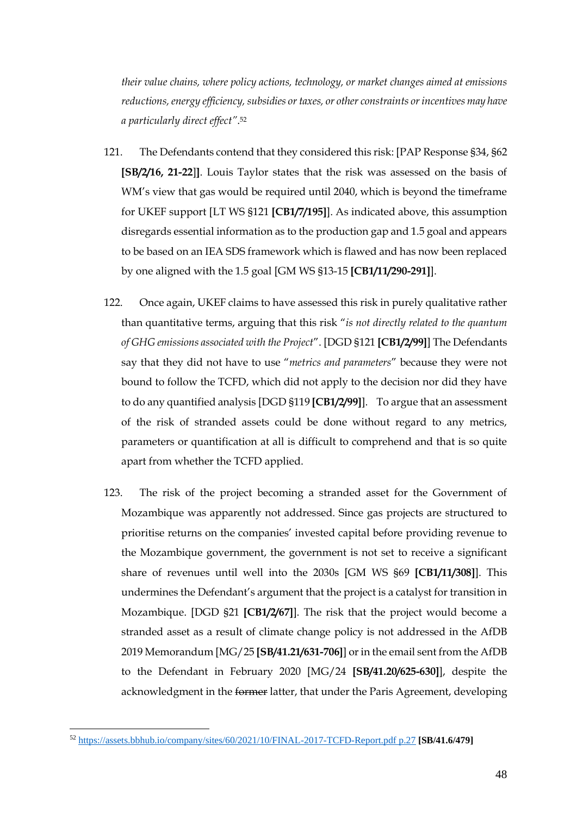*their value chains, where policy actions, technology, or market changes aimed at emissions reductions, energy efficiency, subsidies or taxes, or other constraints or incentives may have a particularly direct effect"*. 52

- 121. The Defendants contend that they considered this risk: [PAP Response §34, §62 **[SB/2/16, 21-22**]**]**. Louis Taylor states that the risk was assessed on the basis of WM's view that gas would be required until 2040, which is beyond the timeframe for UKEF support [LT WS §121 **[CB1/7/195]**]. As indicated above, this assumption disregards essential information as to the production gap and 1.5 goal and appears to be based on an IEA SDS framework which is flawed and has now been replaced by one aligned with the 1.5 goal [GM WS §13-15 **[CB1/11/290-291]**].
- 122. Once again, UKEF claims to have assessed this risk in purely qualitative rather than quantitative terms, arguing that this risk "*is not directly related to the quantum of GHG emissions associated with the Project*". [DGD §121 **[CB1/2/99]**] The Defendants say that they did not have to use "*metrics and parameters*" because they were not bound to follow the TCFD, which did not apply to the decision nor did they have to do any quantified analysis [DGD §119 **[CB1/2/99]**]. To argue that an assessment of the risk of stranded assets could be done without regard to any metrics, parameters or quantification at all is difficult to comprehend and that is so quite apart from whether the TCFD applied.
- 123. The risk of the project becoming a stranded asset for the Government of Mozambique was apparently not addressed. Since gas projects are structured to prioritise returns on the companies' invested capital before providing revenue to the Mozambique government, the government is not set to receive a significant share of revenues until well into the 2030s [GM WS §69 **[CB1/11/308]**]. This undermines the Defendant's argument that the project is a catalyst for transition in Mozambique. [DGD §21 **[CB1/2/67]**]. The risk that the project would become a stranded asset as a result of climate change policy is not addressed in the AfDB 2019 Memorandum [MG/25 **[SB/41.21/631-706]**] or in the email sent from the AfDB to the Defendant in February 2020 [MG/24 **[SB/41.20/625-630]**], despite the acknowledgment in the former latter, that under the Paris Agreement, developing

<sup>52</sup> https://assets.bbhub.io/company/sites/60/2021/10/FINAL-2017-TCFD-Report.pdf p.27 **[SB/41.6/479]**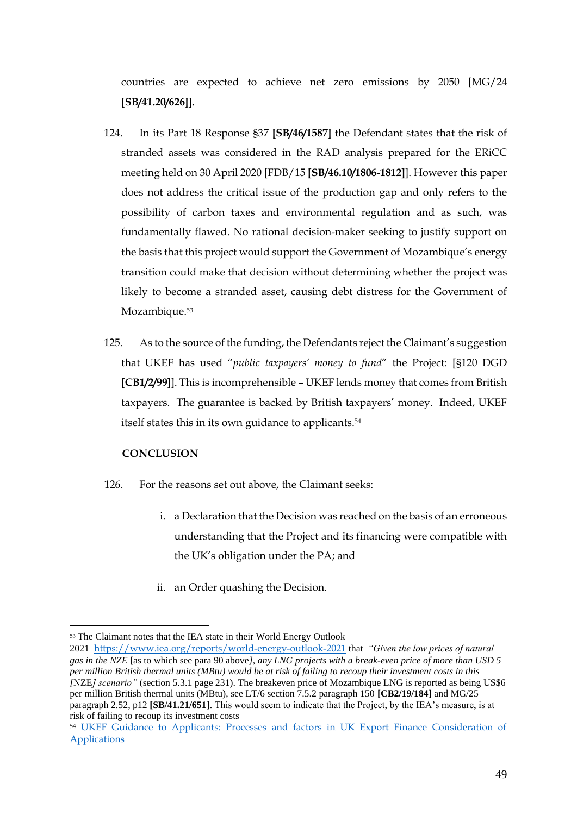countries are expected to achieve net zero emissions by 2050 [MG/24 **[SB/41.20/626]].**

- 124. In its Part 18 Response §37 **[SB/46/1587]** the Defendant states that the risk of stranded assets was considered in the RAD analysis prepared for the ERiCC meeting held on 30 April 2020 [FDB/15 **[SB/46.10/1806-1812]**]. However this paper does not address the critical issue of the production gap and only refers to the possibility of carbon taxes and environmental regulation and as such, was fundamentally flawed. No rational decision-maker seeking to justify support on the basis that this project would support the Government of Mozambique's energy transition could make that decision without determining whether the project was likely to become a stranded asset, causing debt distress for the Government of Mozambique.<sup>53</sup>
- 125. As to the source of the funding, the Defendants reject the Claimant's suggestion that UKEF has used "*public taxpayers' money to fund*" the Project: [§120 DGD **[CB1/2/99]**]. This is incomprehensible – UKEF lends money that comes from British taxpayers. The guarantee is backed by British taxpayers' money. Indeed, UKEF itself states this in its own guidance to applicants.<sup>54</sup>

#### **CONCLUSION**

- 126. For the reasons set out above, the Claimant seeks:
	- i. a Declaration that the Decision was reached on the basis of an erroneous understanding that the Project and its financing were compatible with the UK's obligation under the PA; and
	- ii. an Order quashing the Decision.

<sup>53</sup> The Claimant notes that the IEA state in their World Energy Outlook

<sup>2021</sup> https://www.iea.org/reports/world-energy-outlook-2021 that *"Given the low prices of natural gas in the NZE* [as to which see para 90 above*], any LNG projects with a break-even price of more than USD 5 per million British thermal units (MBtu) would be at risk of failing to recoup their investment costs in this [*NZE*] scenario"* (section 5.3.1 page 231). The breakeven price of Mozambique LNG is reported as being US\$6 per million British thermal units (MBtu), see LT/6 section 7.5.2 paragraph 150 **[CB2/19/184]** and MG/25 paragraph 2.52, p12 **[SB/41.21/651]**. This would seem to indicate that the Project, by the IEA's measure, is at risk of failing to recoup its investment costs

<sup>54</sup> UKEF Guidance to Applicants: Processes and factors in UK Export Finance Consideration of Applications